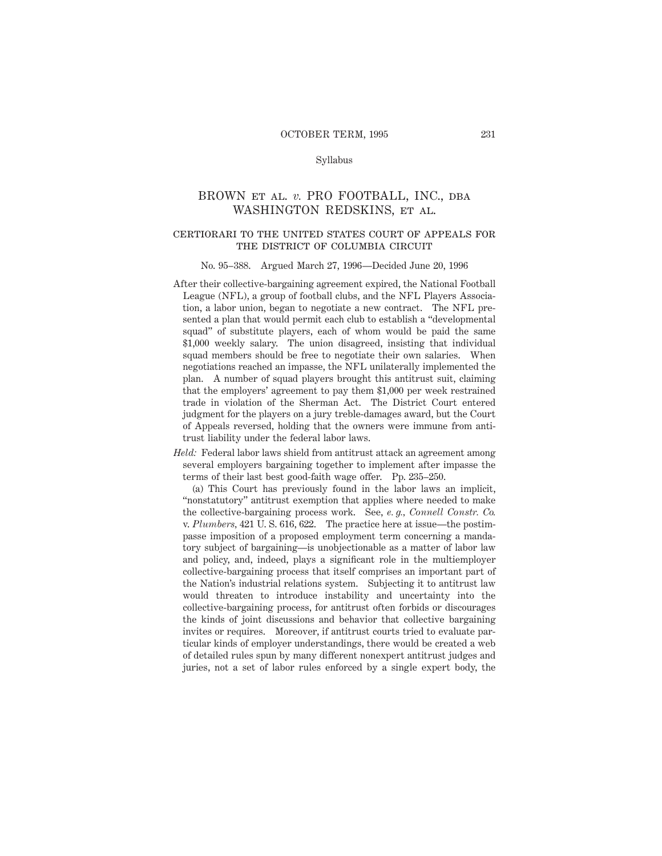## Syllabus

# BROWN ET AL. *v.* PRO FOOTBALL, INC., DBA WASHINGTON REDSKINS, ET AL.

## certiorari to the united states court of appeals forTHE DISTRICT OF COLUMBIA CIRCUIT

#### No. 95–388. Argued March 27, 1996—Decided June 20, 1996

- After their collective-bargaining agreement expired, the National Football League (NFL), a group of football clubs, and the NFL Players Association, a labor union, began to negotiate a new contract. The NFL presented a plan that would permit each club to establish a "developmental squad" of substitute players, each of whom would be paid the same \$1,000 weekly salary. The union disagreed, insisting that individual squad members should be free to negotiate their own salaries. When negotiations reached an impasse, the NFL unilaterally implemented the plan. A number of squad players brought this antitrust suit, claiming that the employers' agreement to pay them \$1,000 per week restrained trade in violation of the Sherman Act. The District Court entered judgment for the players on a jury treble-damages award, but the Court of Appeals reversed, holding that the owners were immune from antitrust liability under the federal labor laws.
- *Held:* Federal labor laws shield from antitrust attack an agreement among several employers bargaining together to implement after impasse the terms of their last best good-faith wage offer. Pp. 235–250.

(a) This Court has previously found in the labor laws an implicit, "nonstatutory" antitrust exemption that applies where needed to make the collective-bargaining process work. See, *e. g., Connell Constr. Co.* v. *Plumbers,* 421 U. S. 616, 622. The practice here at issue—the postimpasse imposition of a proposed employment term concerning a mandatory subject of bargaining—is unobjectionable as a matter of labor law and policy, and, indeed, plays a significant role in the multiemployer collective-bargaining process that itself comprises an important part of the Nation's industrial relations system. Subjecting it to antitrust law would threaten to introduce instability and uncertainty into the collective-bargaining process, for antitrust often forbids or discourages the kinds of joint discussions and behavior that collective bargaining invites or requires. Moreover, if antitrust courts tried to evaluate particular kinds of employer understandings, there would be created a web of detailed rules spun by many different nonexpert antitrust judges and juries, not a set of labor rules enforced by a single expert body, the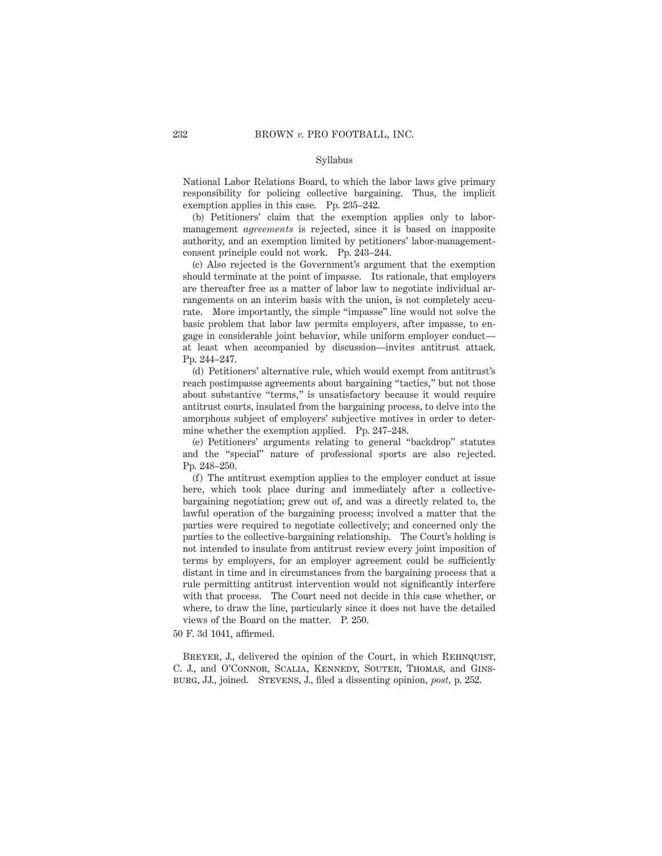### Syllabus

National Labor Relations Board, to which the labor laws give primary responsibility for policing collective bargaining. Thus, the implicit exemption applies in this case. Pp. 235–242.

(b) Petitioners' claim that the exemption applies only to labormanagement *agreements* is rejected, since it is based on inapposite authority, and an exemption limited by petitioners' labor-managementconsent principle could not work. Pp. 243–244.

(c) Also rejected is the Government's argument that the exemption should terminate at the point of impasse. Its rationale, that employers are thereafter free as a matter of labor law to negotiate individual arrangements on an interim basis with the union, is not completely accurate. More importantly, the simple "impasse" line would not solve the basic problem that labor law permits employers, after impasse, to engage in considerable joint behavior, while uniform employer conduct at least when accompanied by discussion—invites antitrust attack. Pp. 244–247.

(d) Petitioners' alternative rule, which would exempt from antitrust's reach postimpasse agreements about bargaining "tactics," but not those about substantive "terms," is unsatisfactory because it would require antitrust courts, insulated from the bargaining process, to delve into the amorphous subject of employers' subjective motives in order to determine whether the exemption applied. Pp. 247–248.

(e) Petitioners' arguments relating to general "backdrop" statutes and the "special" nature of professional sports are also rejected. Pp. 248–250.

(f) The antitrust exemption applies to the employer conduct at issue here, which took place during and immediately after a collectivebargaining negotiation; grew out of, and was a directly related to, the lawful operation of the bargaining process; involved a matter that the parties were required to negotiate collectively; and concerned only the parties to the collective-bargaining relationship. The Court's holding is not intended to insulate from antitrust review every joint imposition of terms by employers, for an employer agreement could be sufficiently distant in time and in circumstances from the bargaining process that a rule permitting antitrust intervention would not significantly interfere with that process. The Court need not decide in this case whether, or where, to draw the line, particularly since it does not have the detailed views of the Board on the matter. P. 250.

50 F. 3d 1041, affirmed.

BREYER, J., delivered the opinion of the Court, in which REHNQUIST, C. J., and O'Connor, Scalia, Kennedy, Souter, Thomas, and Ginsburg, JJ., joined. Stevens, J., filed a dissenting opinion, *post,* p. 252.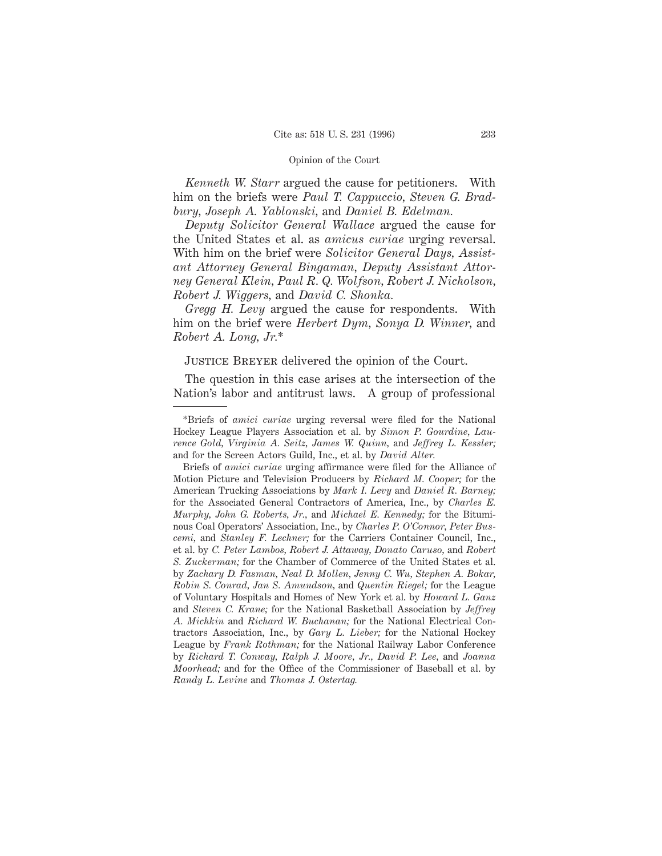*Kenneth W. Starr* argued the cause for petitioners. With him on the briefs were *Paul T. Cappuccio, Steven G. Bradbury, Joseph A. Yablonski,* and *Daniel B. Edelman.*

*Deputy Solicitor General Wallace* argued the cause for the United States et al. as *amicus curiae* urging reversal. With him on the brief were *Solicitor General Days, Assistant Attorney General Bingaman, Deputy Assistant Attorney General Klein, Paul R. Q. Wolfson, Robert J. Nicholson, Robert J. Wiggers,* and *David C. Shonka.*

*Gregg H. Levy* argued the cause for respondents. With him on the brief were *Herbert Dym, Sonya D. Winner,* and *Robert A. Long, Jr.*\*

Justice Breyer delivered the opinion of the Court.

The question in this case arises at the intersection of the Nation's labor and antitrust laws. A group of professional

<sup>\*</sup>Briefs of *amici curiae* urging reversal were filed for the National Hockey League Players Association et al. by *Simon P. Gourdine, Laurence Gold, Virginia A. Seitz, James W. Quinn,* and *Jeffrey L. Kessler;* and for the Screen Actors Guild, Inc., et al. by *David Alter.*

Briefs of *amici curiae* urging affirmance were filed for the Alliance of Motion Picture and Television Producers by *Richard M. Cooper;* for the American Trucking Associations by *Mark I. Levy* and *Daniel R. Barney;* for the Associated General Contractors of America, Inc., by *Charles E. Murphy, John G. Roberts, Jr.,* and *Michael E. Kennedy;* for the Bituminous Coal Operators' Association, Inc., by *Charles P. O'Connor, Peter Buscemi,* and *Stanley F. Lechner;* for the Carriers Container Council, Inc., et al. by *C. Peter Lambos, Robert J. Attaway, Donato Caruso,* and *Robert S. Zuckerman;* for the Chamber of Commerce of the United States et al. by *Zachary D. Fasman, Neal D. Mollen, Jenny C. Wu, Stephen A. Bokar, Robin S. Conrad, Jan S. Amundson,* and *Quentin Riegel;* for the League of Voluntary Hospitals and Homes of New York et al. by *Howard L. Ganz* and *Steven C. Krane;* for the National Basketball Association by *Jeffrey A. Michkin* and *Richard W. Buchanan;* for the National Electrical Contractors Association, Inc., by *Gary L. Lieber;* for the National Hockey League by *Frank Rothman;* for the National Railway Labor Conference by *Richard T. Conway, Ralph J. Moore, Jr., David P. Lee,* and *Joanna Moorhead;* and for the Office of the Commissioner of Baseball et al. by *Randy L. Levine* and *Thomas J. Ostertag.*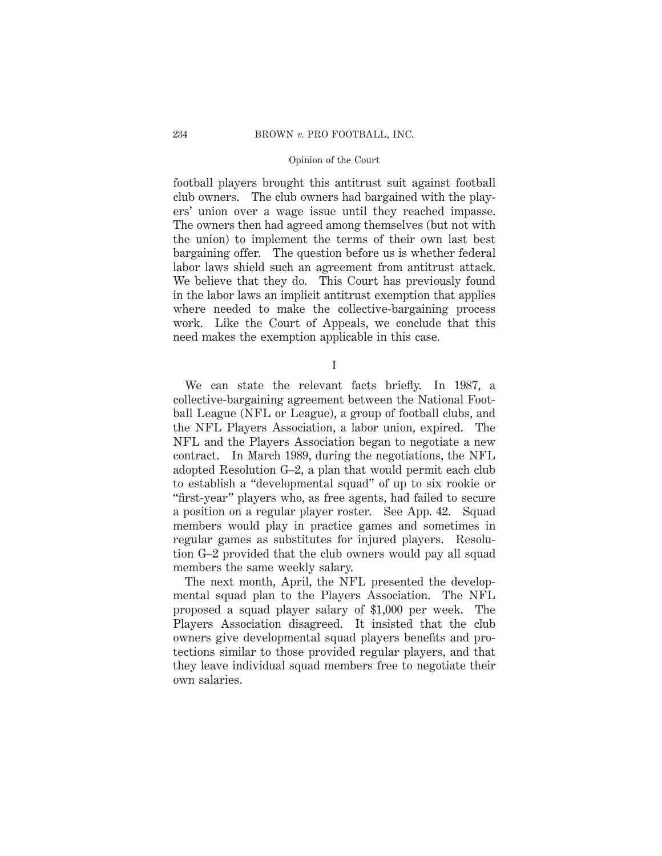football players brought this antitrust suit against football club owners. The club owners had bargained with the players' union over a wage issue until they reached impasse. The owners then had agreed among themselves (but not with the union) to implement the terms of their own last best bargaining offer. The question before us is whether federal labor laws shield such an agreement from antitrust attack. We believe that they do. This Court has previously found in the labor laws an implicit antitrust exemption that applies where needed to make the collective-bargaining process work. Like the Court of Appeals, we conclude that this need makes the exemption applicable in this case.

I

We can state the relevant facts briefly. In 1987, a collective-bargaining agreement between the National Football League (NFL or League), a group of football clubs, and the NFL Players Association, a labor union, expired. The NFL and the Players Association began to negotiate a new contract. In March 1989, during the negotiations, the NFL adopted Resolution G–2, a plan that would permit each club to establish a "developmental squad" of up to six rookie or "first-year" players who, as free agents, had failed to secure a position on a regular player roster. See App. 42. Squad members would play in practice games and sometimes in regular games as substitutes for injured players. Resolution G–2 provided that the club owners would pay all squad members the same weekly salary.

The next month, April, the NFL presented the developmental squad plan to the Players Association. The NFL proposed a squad player salary of \$1,000 per week. The Players Association disagreed. It insisted that the club owners give developmental squad players benefits and protections similar to those provided regular players, and that they leave individual squad members free to negotiate their own salaries.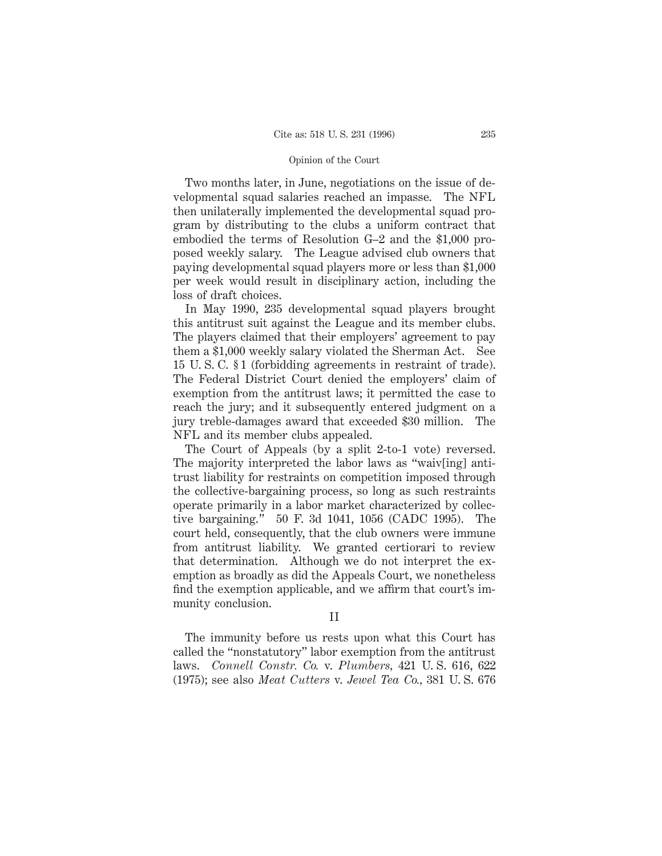Two months later, in June, negotiations on the issue of developmental squad salaries reached an impasse. The NFL then unilaterally implemented the developmental squad program by distributing to the clubs a uniform contract that embodied the terms of Resolution G–2 and the \$1,000 proposed weekly salary. The League advised club owners that paying developmental squad players more or less than \$1,000 per week would result in disciplinary action, including the loss of draft choices.

In May 1990, 235 developmental squad players brought this antitrust suit against the League and its member clubs. The players claimed that their employers' agreement to pay them a \$1,000 weekly salary violated the Sherman Act. See 15 U. S. C. § 1 (forbidding agreements in restraint of trade). The Federal District Court denied the employers' claim of exemption from the antitrust laws; it permitted the case to reach the jury; and it subsequently entered judgment on a jury treble-damages award that exceeded \$30 million. The NFL and its member clubs appealed.

The Court of Appeals (by a split 2-to-1 vote) reversed. The majority interpreted the labor laws as "waiv[ing] antitrust liability for restraints on competition imposed through the collective-bargaining process, so long as such restraints operate primarily in a labor market characterized by collective bargaining." 50 F. 3d 1041, 1056 (CADC 1995). The court held, consequently, that the club owners were immune from antitrust liability. We granted certiorari to review that determination. Although we do not interpret the exemption as broadly as did the Appeals Court, we nonetheless find the exemption applicable, and we affirm that court's immunity conclusion.

II

The immunity before us rests upon what this Court has called the "nonstatutory" labor exemption from the antitrust laws. *Connell Constr. Co.* v. *Plumbers,* 421 U. S. 616, 622 (1975); see also *Meat Cutters* v. *Jewel Tea Co.,* 381 U. S. 676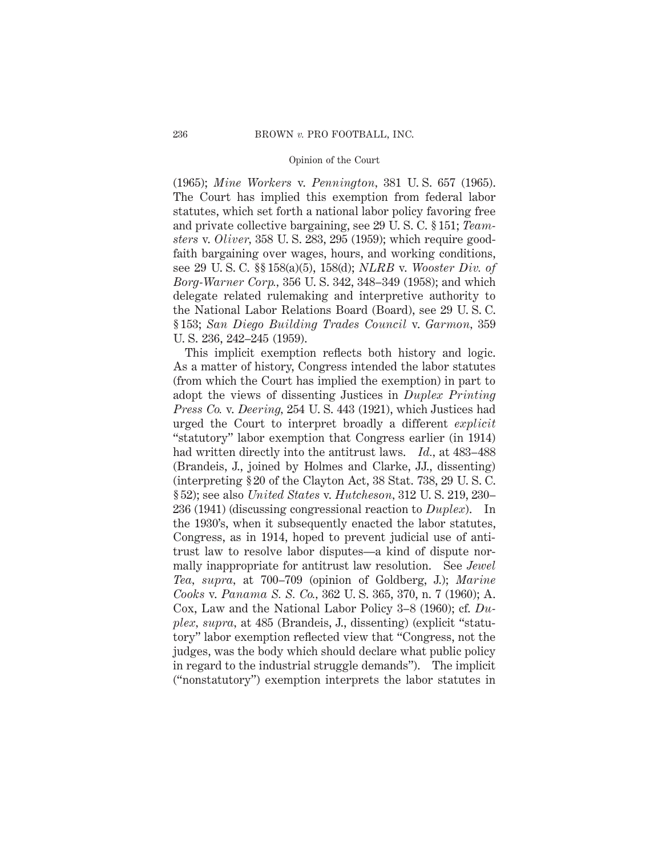(1965); *Mine Workers* v. *Pennington,* 381 U. S. 657 (1965). The Court has implied this exemption from federal labor statutes, which set forth a national labor policy favoring free and private collective bargaining, see 29 U. S. C. § 151; *Teamsters* v. *Oliver,* 358 U. S. 283, 295 (1959); which require goodfaith bargaining over wages, hours, and working conditions, see 29 U. S. C. §§ 158(a)(5), 158(d); *NLRB* v. *Wooster Div. of Borg-Warner Corp.,* 356 U. S. 342, 348–349 (1958); and which delegate related rulemaking and interpretive authority to the National Labor Relations Board (Board), see 29 U. S. C. § 153; *San Diego Building Trades Council* v. *Garmon,* 359 U. S. 236, 242–245 (1959).

This implicit exemption reflects both history and logic. As a matter of history, Congress intended the labor statutes (from which the Court has implied the exemption) in part to adopt the views of dissenting Justices in *Duplex Printing Press Co.* v. *Deering,* 254 U. S. 443 (1921), which Justices had urged the Court to interpret broadly a different *explicit* "statutory" labor exemption that Congress earlier (in 1914) had written directly into the antitrust laws. *Id.,* at 483–488 (Brandeis, J., joined by Holmes and Clarke, JJ., dissenting) (interpreting § 20 of the Clayton Act, 38 Stat. 738, 29 U. S. C. § 52); see also *United States* v. *Hutcheson,* 312 U. S. 219, 230– 236 (1941) (discussing congressional reaction to *Duplex*). In the 1930's, when it subsequently enacted the labor statutes, Congress, as in 1914, hoped to prevent judicial use of antitrust law to resolve labor disputes—a kind of dispute normally inappropriate for antitrust law resolution. See *Jewel Tea, supra,* at 700–709 (opinion of Goldberg, J.); *Marine Cooks* v. *Panama S. S. Co.,* 362 U. S. 365, 370, n. 7 (1960); A. Cox, Law and the National Labor Policy 3–8 (1960); cf. *Duplex, supra,* at 485 (Brandeis, J., dissenting) (explicit "statutory" labor exemption reflected view that "Congress, not the judges, was the body which should declare what public policy in regard to the industrial struggle demands"). The implicit ("nonstatutory") exemption interprets the labor statutes in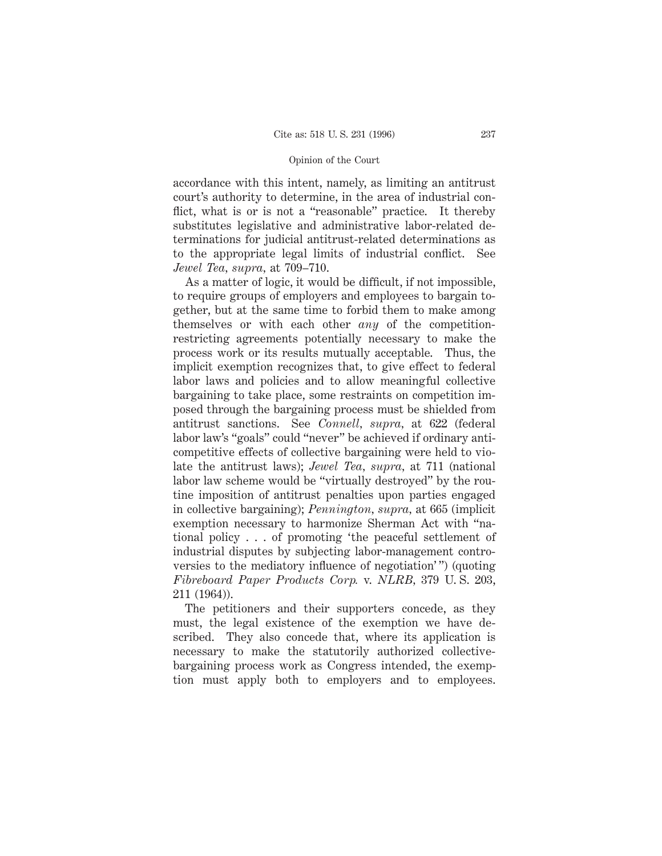accordance with this intent, namely, as limiting an antitrust court's authority to determine, in the area of industrial conflict, what is or is not a "reasonable" practice. It thereby substitutes legislative and administrative labor-related determinations for judicial antitrust-related determinations as to the appropriate legal limits of industrial conflict. See *Jewel Tea, supra,* at 709–710.

As a matter of logic, it would be difficult, if not impossible, to require groups of employers and employees to bargain together, but at the same time to forbid them to make among themselves or with each other *any* of the competitionrestricting agreements potentially necessary to make the process work or its results mutually acceptable. Thus, the implicit exemption recognizes that, to give effect to federal labor laws and policies and to allow meaningful collective bargaining to take place, some restraints on competition imposed through the bargaining process must be shielded from antitrust sanctions. See *Connell, supra,* at 622 (federal labor law's "goals" could "never" be achieved if ordinary anticompetitive effects of collective bargaining were held to violate the antitrust laws); *Jewel Tea, supra,* at 711 (national labor law scheme would be "virtually destroyed" by the routine imposition of antitrust penalties upon parties engaged in collective bargaining); *Pennington, supra,* at 665 (implicit exemption necessary to harmonize Sherman Act with "national policy . . . of promoting 'the peaceful settlement of industrial disputes by subjecting labor-management controversies to the mediatory influence of negotiation'") (quoting *Fibreboard Paper Products Corp.* v. *NLRB,* 379 U. S. 203, 211 (1964)).

The petitioners and their supporters concede, as they must, the legal existence of the exemption we have described. They also concede that, where its application is necessary to make the statutorily authorized collectivebargaining process work as Congress intended, the exemption must apply both to employers and to employees.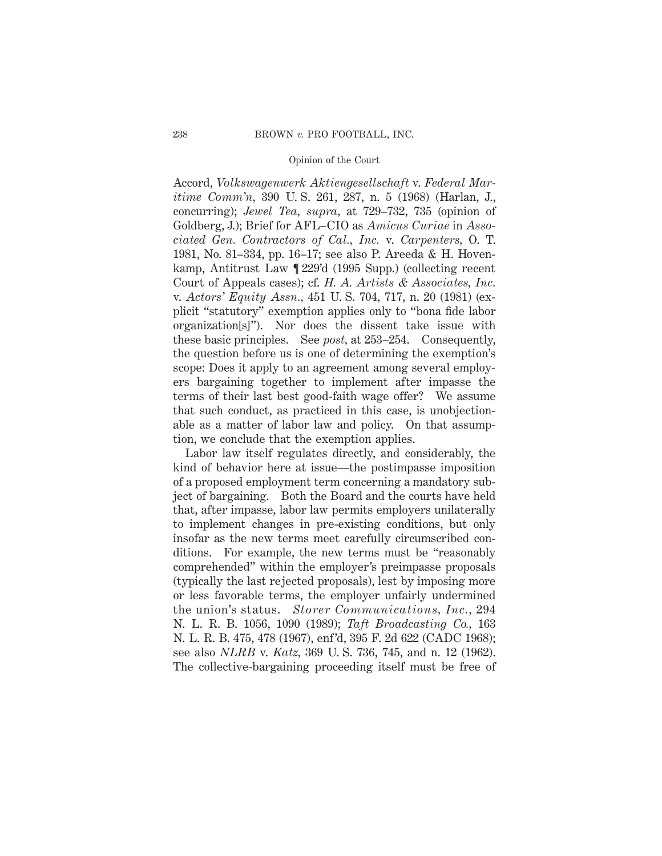Accord, *Volkswagenwerk Aktiengesellschaft* v. *Federal Maritime Comm'n,* 390 U. S. 261, 287, n. 5 (1968) (Harlan, J., concurring); *Jewel Tea, supra,* at 729–732, 735 (opinion of Goldberg, J.); Brief for AFL–CIO as *Amicus Curiae* in *Associated Gen. Contractors of Cal., Inc.* v. *Carpenters,* O. T. 1981, No. 81–334, pp. 16–17; see also P. Areeda & H. Hovenkamp, Antitrust Law ¶ 229'd (1995 Supp.) (collecting recent Court of Appeals cases); cf. *H. A. Artists & Associates, Inc.* v. *Actors' Equity Assn.,* 451 U. S. 704, 717, n. 20 (1981) (explicit "statutory" exemption applies only to "bona fide labor organization[s]"). Nor does the dissent take issue with these basic principles. See *post,* at 253–254. Consequently, the question before us is one of determining the exemption's scope: Does it apply to an agreement among several employers bargaining together to implement after impasse the terms of their last best good-faith wage offer? We assume that such conduct, as practiced in this case, is unobjectionable as a matter of labor law and policy. On that assumption, we conclude that the exemption applies.

Labor law itself regulates directly, and considerably, the kind of behavior here at issue—the postimpasse imposition of a proposed employment term concerning a mandatory subject of bargaining. Both the Board and the courts have held that, after impasse, labor law permits employers unilaterally to implement changes in pre-existing conditions, but only insofar as the new terms meet carefully circumscribed conditions. For example, the new terms must be "reasonably comprehended" within the employer's preimpasse proposals (typically the last rejected proposals), lest by imposing more or less favorable terms, the employer unfairly undermined the union's status. *Storer Communications, Inc.,* 294 N. L. R. B. 1056, 1090 (1989); *Taft Broadcasting Co.,* 163 N. L. R. B. 475, 478 (1967), enf'd, 395 F. 2d 622 (CADC 1968); see also *NLRB* v. *Katz,* 369 U. S. 736, 745, and n. 12 (1962). The collective-bargaining proceeding itself must be free of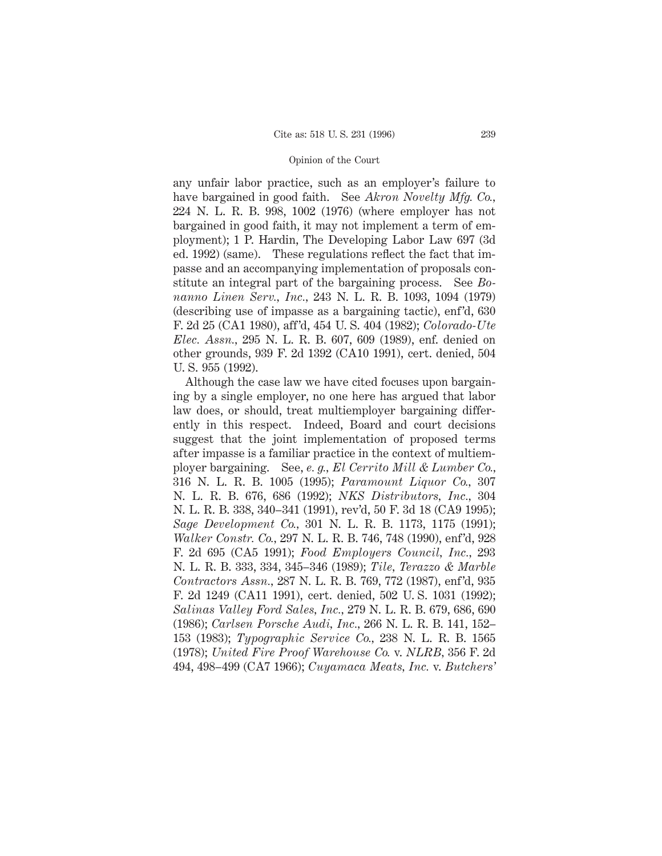any unfair labor practice, such as an employer's failure to have bargained in good faith. See *Akron Novelty Mfg. Co.,* 224 N. L. R. B. 998, 1002 (1976) (where employer has not bargained in good faith, it may not implement a term of employment); 1 P. Hardin, The Developing Labor Law 697 (3d ed. 1992) (same). These regulations reflect the fact that impasse and an accompanying implementation of proposals constitute an integral part of the bargaining process. See *Bonanno Linen Serv., Inc.,* 243 N. L. R. B. 1093, 1094 (1979) (describing use of impasse as a bargaining tactic), enf'd, 630 F. 2d 25 (CA1 1980), aff'd, 454 U. S. 404 (1982); *Colorado-Ute Elec. Assn.,* 295 N. L. R. B. 607, 609 (1989), enf. denied on other grounds, 939 F. 2d 1392 (CA10 1991), cert. denied, 504 U. S. 955 (1992).

Although the case law we have cited focuses upon bargaining by a single employer, no one here has argued that labor law does, or should, treat multiemployer bargaining differently in this respect. Indeed, Board and court decisions suggest that the joint implementation of proposed terms after impasse is a familiar practice in the context of multiemployer bargaining. See, *e. g., El Cerrito Mill & Lumber Co.,* 316 N. L. R. B. 1005 (1995); *Paramount Liquor Co.,* 307 N. L. R. B. 676, 686 (1992); *NKS Distributors, Inc.,* 304 N. L. R. B. 338, 340–341 (1991), rev'd, 50 F. 3d 18 (CA9 1995); *Sage Development Co.,* 301 N. L. R. B. 1173, 1175 (1991); *Walker Constr. Co.,* 297 N. L. R. B. 746, 748 (1990), enf'd, 928 F. 2d 695 (CA5 1991); *Food Employers Council, Inc.,* 293 N. L. R. B. 333, 334, 345–346 (1989); *Tile, Terazzo & Marble Contractors Assn.,* 287 N. L. R. B. 769, 772 (1987), enf'd, 935 F. 2d 1249 (CA11 1991), cert. denied, 502 U. S. 1031 (1992); *Salinas Valley Ford Sales, Inc.,* 279 N. L. R. B. 679, 686, 690 (1986); *Carlsen Porsche Audi, Inc.,* 266 N. L. R. B. 141, 152– 153 (1983); *Typographic Service Co.,* 238 N. L. R. B. 1565 (1978); *United Fire Proof Warehouse Co.* v. *NLRB,* 356 F. 2d 494, 498–499 (CA7 1966); *Cuyamaca Meats, Inc.* v. *Butchers'*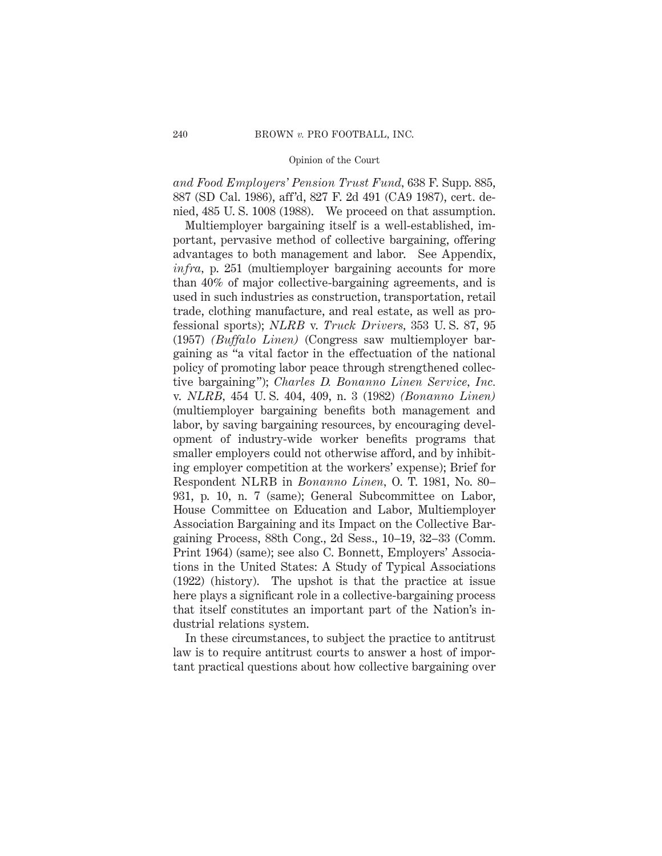*and Food Employers' Pension Trust Fund,* 638 F. Supp. 885, 887 (SD Cal. 1986), aff'd, 827 F. 2d 491 (CA9 1987), cert. denied, 485 U. S. 1008 (1988). We proceed on that assumption.

Multiemployer bargaining itself is a well-established, important, pervasive method of collective bargaining, offering advantages to both management and labor. See Appendix, *infra,* p. 251 (multiemployer bargaining accounts for more than 40% of major collective-bargaining agreements, and is used in such industries as construction, transportation, retail trade, clothing manufacture, and real estate, as well as professional sports); *NLRB* v. *Truck Drivers,* 353 U. S. 87, 95 (1957) *(Buffalo Linen)* (Congress saw multiemployer bargaining as "a vital factor in the effectuation of the national policy of promoting labor peace through strengthened collective bargaining"); *Charles D. Bonanno Linen Service, Inc.* v. *NLRB,* 454 U. S. 404, 409, n. 3 (1982) *(Bonanno Linen)* (multiemployer bargaining benefits both management and labor, by saving bargaining resources, by encouraging development of industry-wide worker benefits programs that smaller employers could not otherwise afford, and by inhibiting employer competition at the workers' expense); Brief for Respondent NLRB in *Bonanno Linen,* O. T. 1981, No. 80– 931, p. 10, n. 7 (same); General Subcommittee on Labor, House Committee on Education and Labor, Multiemployer Association Bargaining and its Impact on the Collective Bargaining Process, 88th Cong., 2d Sess., 10–19, 32–33 (Comm. Print 1964) (same); see also C. Bonnett, Employers' Associations in the United States: A Study of Typical Associations (1922) (history). The upshot is that the practice at issue here plays a significant role in a collective-bargaining process that itself constitutes an important part of the Nation's industrial relations system.

In these circumstances, to subject the practice to antitrust law is to require antitrust courts to answer a host of important practical questions about how collective bargaining over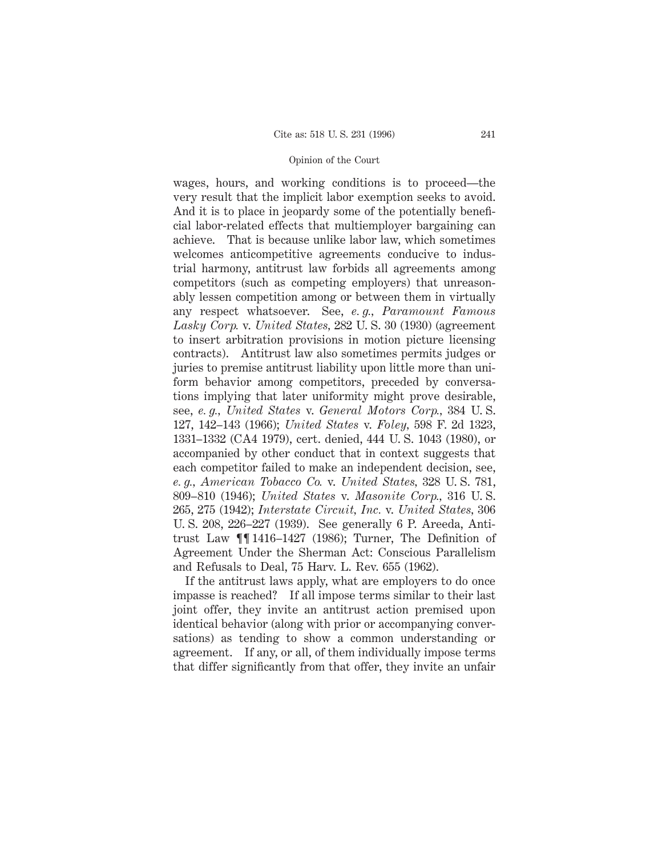wages, hours, and working conditions is to proceed—the very result that the implicit labor exemption seeks to avoid. And it is to place in jeopardy some of the potentially beneficial labor-related effects that multiemployer bargaining can achieve. That is because unlike labor law, which sometimes welcomes anticompetitive agreements conducive to industrial harmony, antitrust law forbids all agreements among competitors (such as competing employers) that unreasonably lessen competition among or between them in virtually any respect whatsoever. See, *e. g., Paramount Famous Lasky Corp.* v. *United States,* 282 U. S. 30 (1930) (agreement to insert arbitration provisions in motion picture licensing contracts). Antitrust law also sometimes permits judges or juries to premise antitrust liability upon little more than uniform behavior among competitors, preceded by conversations implying that later uniformity might prove desirable, see, *e. g., United States* v. *General Motors Corp.,* 384 U. S. 127, 142–143 (1966); *United States* v. *Foley,* 598 F. 2d 1323, 1331–1332 (CA4 1979), cert. denied, 444 U. S. 1043 (1980), or accompanied by other conduct that in context suggests that each competitor failed to make an independent decision, see, *e. g., American Tobacco Co.* v. *United States,* 328 U. S. 781, 809–810 (1946); *United States* v. *Masonite Corp.,* 316 U. S. 265, 275 (1942); *Interstate Circuit, Inc.* v. *United States,* 306 U. S. 208, 226–227 (1939). See generally 6 P. Areeda, Antitrust Law ¶¶ 1416–1427 (1986); Turner, The Definition of Agreement Under the Sherman Act: Conscious Parallelism and Refusals to Deal, 75 Harv. L. Rev. 655 (1962).

If the antitrust laws apply, what are employers to do once impasse is reached? If all impose terms similar to their last joint offer, they invite an antitrust action premised upon identical behavior (along with prior or accompanying conversations) as tending to show a common understanding or agreement. If any, or all, of them individually impose terms that differ significantly from that offer, they invite an unfair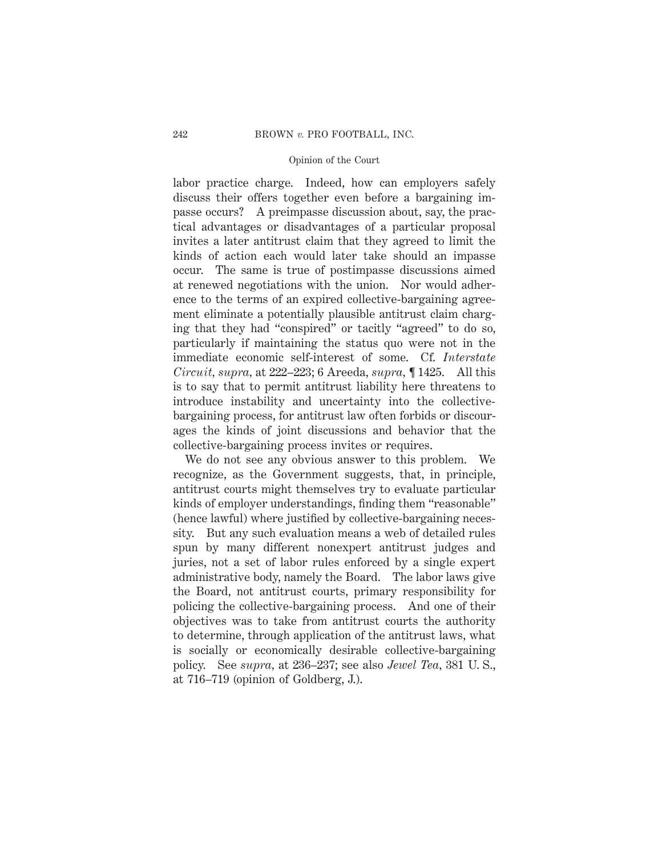labor practice charge. Indeed, how can employers safely discuss their offers together even before a bargaining impasse occurs? A preimpasse discussion about, say, the practical advantages or disadvantages of a particular proposal invites a later antitrust claim that they agreed to limit the kinds of action each would later take should an impasse occur. The same is true of postimpasse discussions aimed at renewed negotiations with the union. Nor would adherence to the terms of an expired collective-bargaining agreement eliminate a potentially plausible antitrust claim charging that they had "conspired" or tacitly "agreed" to do so, particularly if maintaining the status quo were not in the immediate economic self-interest of some. Cf. *Interstate Circuit, supra,* at 222–223; 6 Areeda, *supra,* ¶ 1425. All this is to say that to permit antitrust liability here threatens to introduce instability and uncertainty into the collectivebargaining process, for antitrust law often forbids or discourages the kinds of joint discussions and behavior that the collective-bargaining process invites or requires.

We do not see any obvious answer to this problem. We recognize, as the Government suggests, that, in principle, antitrust courts might themselves try to evaluate particular kinds of employer understandings, finding them "reasonable" (hence lawful) where justified by collective-bargaining necessity. But any such evaluation means a web of detailed rules spun by many different nonexpert antitrust judges and juries, not a set of labor rules enforced by a single expert administrative body, namely the Board. The labor laws give the Board, not antitrust courts, primary responsibility for policing the collective-bargaining process. And one of their objectives was to take from antitrust courts the authority to determine, through application of the antitrust laws, what is socially or economically desirable collective-bargaining policy. See *supra,* at 236–237; see also *Jewel Tea,* 381 U. S., at 716–719 (opinion of Goldberg, J.).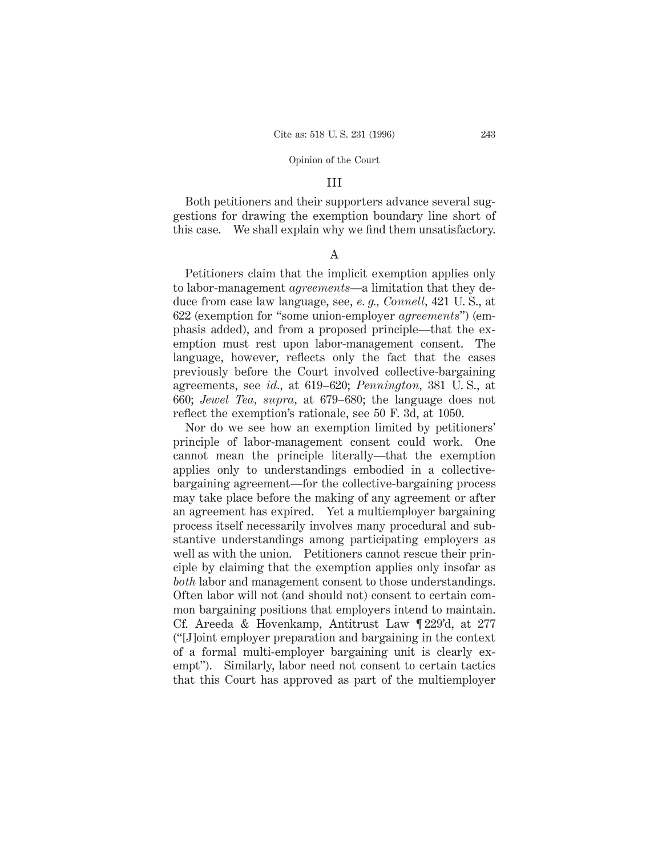## III

Both petitioners and their supporters advance several suggestions for drawing the exemption boundary line short of this case. We shall explain why we find them unsatisfactory.

A

Petitioners claim that the implicit exemption applies only to labor-management *agreements*—a limitation that they deduce from case law language, see, *e. g., Connell,* 421 U. S., at 622 (exemption for "some union-employer *agreements*") (emphasis added), and from a proposed principle—that the exemption must rest upon labor-management consent. The language, however, reflects only the fact that the cases previously before the Court involved collective-bargaining agreements, see *id.,* at 619–620; *Pennington,* 381 U. S., at 660; *Jewel Tea, supra,* at 679–680; the language does not reflect the exemption's rationale, see 50 F. 3d, at 1050.

Nor do we see how an exemption limited by petitioners' principle of labor-management consent could work. One cannot mean the principle literally—that the exemption applies only to understandings embodied in a collectivebargaining agreement—for the collective-bargaining process may take place before the making of any agreement or after an agreement has expired. Yet a multiemployer bargaining process itself necessarily involves many procedural and substantive understandings among participating employers as well as with the union. Petitioners cannot rescue their principle by claiming that the exemption applies only insofar as *both* labor and management consent to those understandings. Often labor will not (and should not) consent to certain common bargaining positions that employers intend to maintain. Cf. Areeda & Hovenkamp, Antitrust Law ¶ 229'd, at 277 ("[J]oint employer preparation and bargaining in the context of a formal multi-employer bargaining unit is clearly exempt"). Similarly, labor need not consent to certain tactics that this Court has approved as part of the multiemployer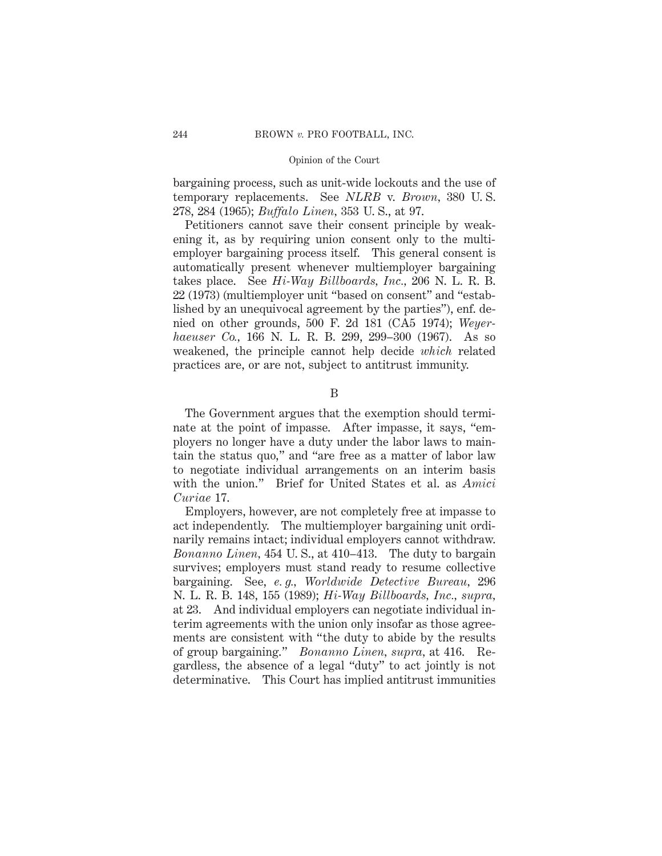bargaining process, such as unit-wide lockouts and the use of temporary replacements. See *NLRB* v. *Brown,* 380 U. S. 278, 284 (1965); *Buffalo Linen,* 353 U. S., at 97.

Petitioners cannot save their consent principle by weakening it, as by requiring union consent only to the multiemployer bargaining process itself. This general consent is automatically present whenever multiemployer bargaining takes place. See *Hi-Way Billboards, Inc.,* 206 N. L. R. B. 22 (1973) (multiemployer unit "based on consent" and "established by an unequivocal agreement by the parties"), enf. denied on other grounds, 500 F. 2d 181 (CA5 1974); *Weyerhaeuser Co.,* 166 N. L. R. B. 299, 299–300 (1967). As so weakened, the principle cannot help decide *which* related practices are, or are not, subject to antitrust immunity.

B

The Government argues that the exemption should terminate at the point of impasse. After impasse, it says, "employers no longer have a duty under the labor laws to maintain the status quo," and "are free as a matter of labor law to negotiate individual arrangements on an interim basis with the union." Brief for United States et al. as *Amici Curiae* 17.

Employers, however, are not completely free at impasse to act independently. The multiemployer bargaining unit ordinarily remains intact; individual employers cannot withdraw. *Bonanno Linen,* 454 U. S., at 410–413. The duty to bargain survives; employers must stand ready to resume collective bargaining. See, *e. g., Worldwide Detective Bureau,* 296 N. L. R. B. 148, 155 (1989); *Hi-Way Billboards, Inc., supra,* at 23. And individual employers can negotiate individual interim agreements with the union only insofar as those agreements are consistent with "the duty to abide by the results of group bargaining." *Bonanno Linen, supra,* at 416. Regardless, the absence of a legal "duty" to act jointly is not determinative. This Court has implied antitrust immunities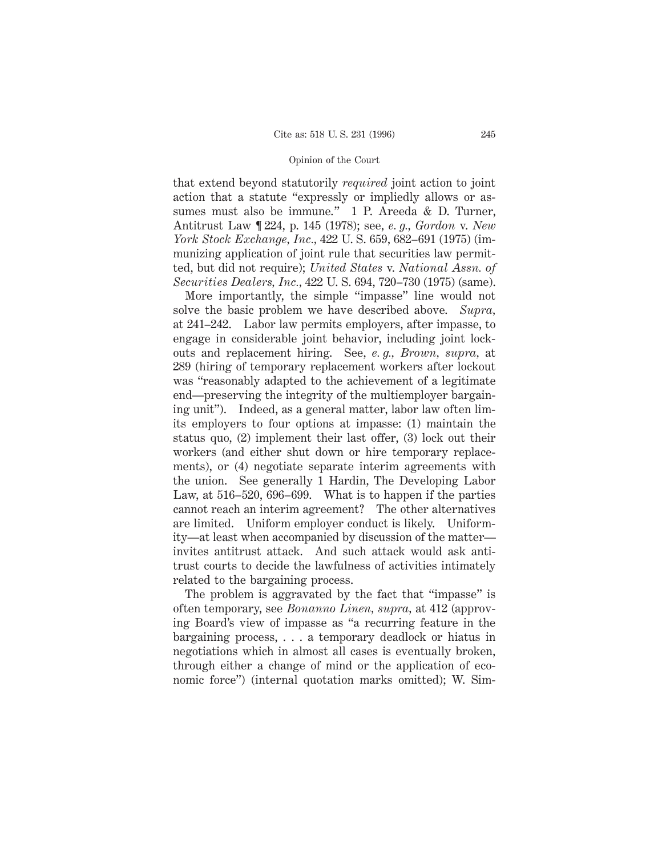that extend beyond statutorily *required* joint action to joint action that a statute "expressly or impliedly allows or assumes must also be immune." 1 P. Areeda & D. Turner, Antitrust Law ¶ 224, p. 145 (1978); see, *e. g., Gordon* v. *New York Stock Exchange, Inc.,* 422 U. S. 659, 682–691 (1975) (immunizing application of joint rule that securities law permitted, but did not require); *United States* v. *National Assn. of Securities Dealers, Inc.,* 422 U. S. 694, 720–730 (1975) (same).

More importantly, the simple "impasse" line would not solve the basic problem we have described above. *Supra,* at 241–242. Labor law permits employers, after impasse, to engage in considerable joint behavior, including joint lockouts and replacement hiring. See, *e. g., Brown, supra,* at 289 (hiring of temporary replacement workers after lockout was "reasonably adapted to the achievement of a legitimate end—preserving the integrity of the multiemployer bargaining unit"). Indeed, as a general matter, labor law often limits employers to four options at impasse: (1) maintain the status quo, (2) implement their last offer, (3) lock out their workers (and either shut down or hire temporary replacements), or (4) negotiate separate interim agreements with the union. See generally 1 Hardin, The Developing Labor Law, at 516–520, 696–699. What is to happen if the parties cannot reach an interim agreement? The other alternatives are limited. Uniform employer conduct is likely. Uniformity—at least when accompanied by discussion of the matter invites antitrust attack. And such attack would ask antitrust courts to decide the lawfulness of activities intimately related to the bargaining process.

The problem is aggravated by the fact that "impasse" is often temporary, see *Bonanno Linen, supra,* at 412 (approving Board's view of impasse as "a recurring feature in the bargaining process, . . . a temporary deadlock or hiatus in negotiations which in almost all cases is eventually broken, through either a change of mind or the application of economic force") (internal quotation marks omitted); W. Sim-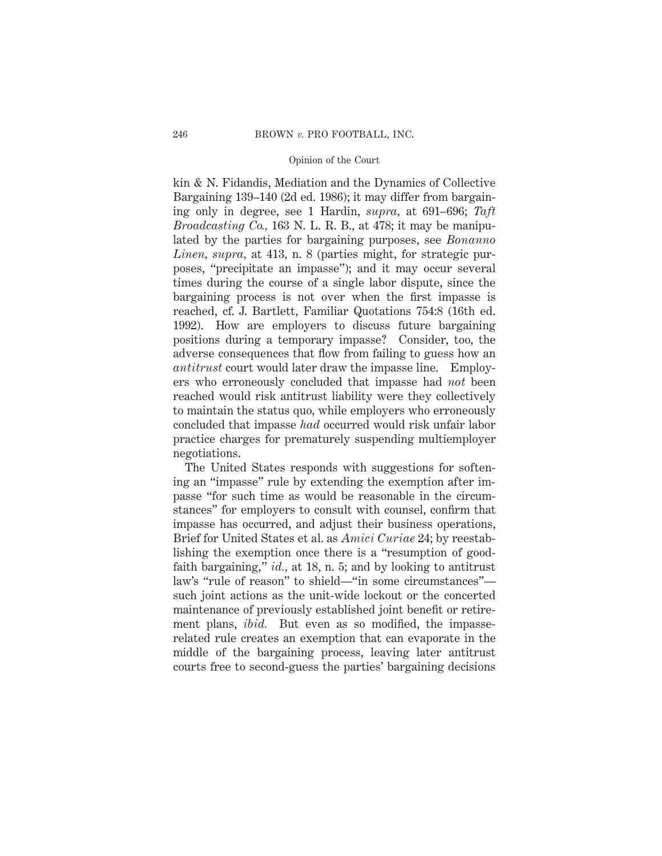kin & N. Fidandis, Mediation and the Dynamics of Collective Bargaining 139–140 (2d ed. 1986); it may differ from bargaining only in degree, see 1 Hardin, *supra,* at 691–696; *Taft Broadcasting Co.,* 163 N. L. R. B., at 478; it may be manipulated by the parties for bargaining purposes, see *Bonanno Linen, supra,* at 413, n. 8 (parties might, for strategic purposes, "precipitate an impasse"); and it may occur several times during the course of a single labor dispute, since the bargaining process is not over when the first impasse is reached, cf. J. Bartlett, Familiar Quotations 754:8 (16th ed. 1992). How are employers to discuss future bargaining positions during a temporary impasse? Consider, too, the adverse consequences that flow from failing to guess how an *antitrust* court would later draw the impasse line. Employers who erroneously concluded that impasse had *not* been reached would risk antitrust liability were they collectively to maintain the status quo, while employers who erroneously concluded that impasse *had* occurred would risk unfair labor practice charges for prematurely suspending multiemployer negotiations.

The United States responds with suggestions for softening an "impasse" rule by extending the exemption after impasse "for such time as would be reasonable in the circumstances" for employers to consult with counsel, confirm that impasse has occurred, and adjust their business operations, Brief for United States et al. as *Amici Curiae* 24; by reestablishing the exemption once there is a "resumption of goodfaith bargaining," *id.,* at 18, n. 5; and by looking to antitrust law's "rule of reason" to shield—"in some circumstances" such joint actions as the unit-wide lockout or the concerted maintenance of previously established joint benefit or retirement plans, *ibid*. But even as so modified, the impasserelated rule creates an exemption that can evaporate in the middle of the bargaining process, leaving later antitrust courts free to second-guess the parties' bargaining decisions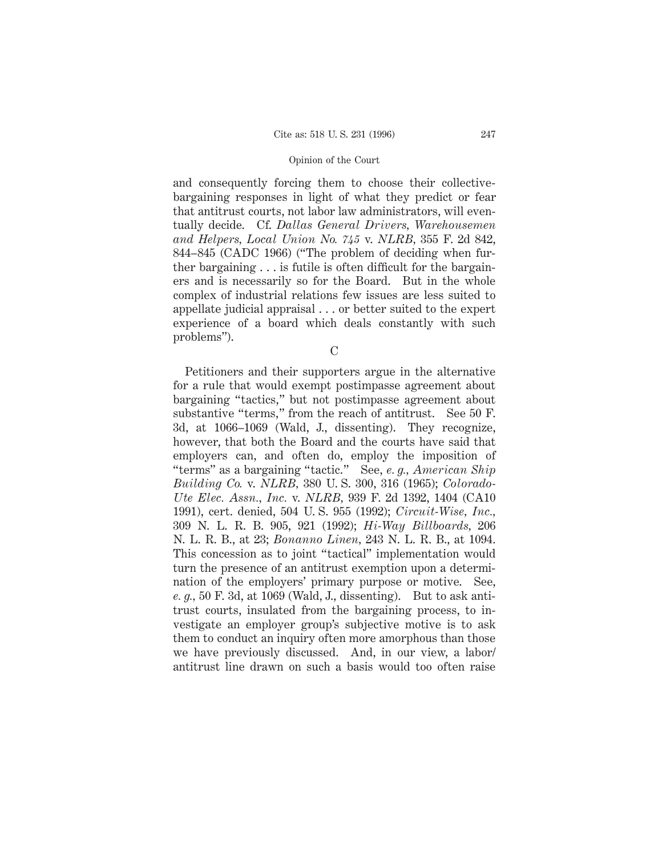and consequently forcing them to choose their collectivebargaining responses in light of what they predict or fear that antitrust courts, not labor law administrators, will eventually decide. Cf. *Dallas General Drivers, Warehousemen and Helpers, Local Union No. 745* v. *NLRB,* 355 F. 2d 842, 844–845 (CADC 1966) ("The problem of deciding when further bargaining . . . is futile is often difficult for the bargainers and is necessarily so for the Board. But in the whole complex of industrial relations few issues are less suited to appellate judicial appraisal . . . or better suited to the expert experience of a board which deals constantly with such problems").

C

Petitioners and their supporters argue in the alternative for a rule that would exempt postimpasse agreement about bargaining "tactics," but not postimpasse agreement about substantive "terms," from the reach of antitrust. See 50 F. 3d, at 1066–1069 (Wald, J., dissenting). They recognize, however, that both the Board and the courts have said that employers can, and often do, employ the imposition of "terms" as a bargaining "tactic." See, *e. g., American Ship Building Co.* v. *NLRB,* 380 U. S. 300, 316 (1965); *Colorado-Ute Elec. Assn., Inc.* v. *NLRB,* 939 F. 2d 1392, 1404 (CA10 1991), cert. denied, 504 U. S. 955 (1992); *Circuit-Wise, Inc.,* 309 N. L. R. B. 905, 921 (1992); *Hi-Way Billboards,* 206 N. L. R. B., at 23; *Bonanno Linen,* 243 N. L. R. B., at 1094. This concession as to joint "tactical" implementation would turn the presence of an antitrust exemption upon a determination of the employers' primary purpose or motive. See, *e. g.,* 50 F. 3d, at 1069 (Wald, J., dissenting). But to ask antitrust courts, insulated from the bargaining process, to investigate an employer group's subjective motive is to ask them to conduct an inquiry often more amorphous than those we have previously discussed. And, in our view, a labor/ antitrust line drawn on such a basis would too often raise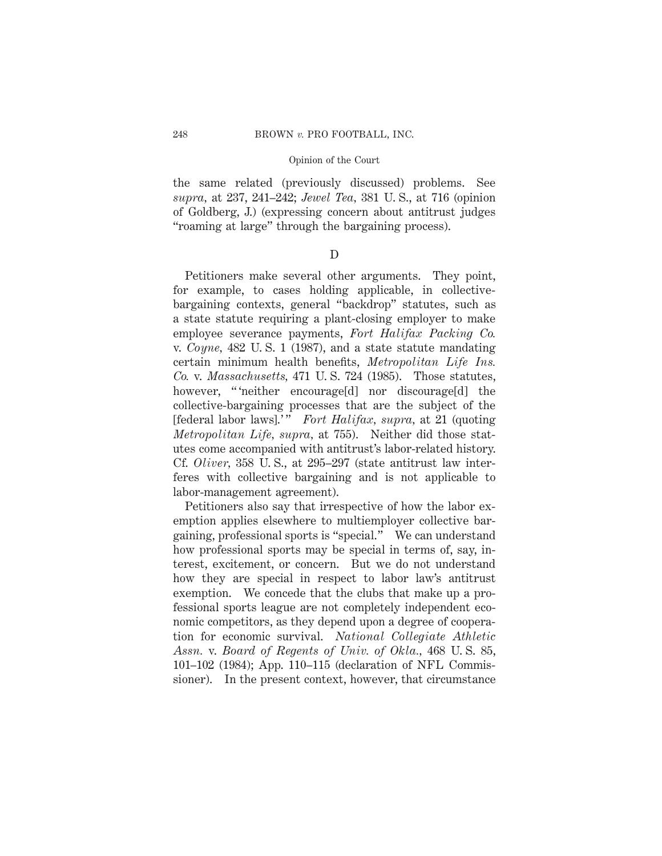the same related (previously discussed) problems. See *supra,* at 237, 241–242; *Jewel Tea,* 381 U. S., at 716 (opinion of Goldberg, J.) (expressing concern about antitrust judges "roaming at large" through the bargaining process).

D

Petitioners make several other arguments. They point, for example, to cases holding applicable, in collectivebargaining contexts, general "backdrop" statutes, such as a state statute requiring a plant-closing employer to make employee severance payments, *Fort Halifax Packing Co.* v. *Coyne,* 482 U. S. 1 (1987), and a state statute mandating certain minimum health benefits, *Metropolitan Life Ins. Co.* v. *Massachusetts,* 471 U. S. 724 (1985). Those statutes, however, " 'neither encourage<sup>[d]</sup> nor discourage<sup>[d]</sup> the collective-bargaining processes that are the subject of the [federal labor laws].' " *Fort Halifax, supra,* at 21 (quoting *Metropolitan Life, supra,* at 755). Neither did those statutes come accompanied with antitrust's labor-related history. Cf. *Oliver,* 358 U. S., at 295–297 (state antitrust law interferes with collective bargaining and is not applicable to labor-management agreement).

Petitioners also say that irrespective of how the labor exemption applies elsewhere to multiemployer collective bargaining, professional sports is "special." We can understand how professional sports may be special in terms of, say, interest, excitement, or concern. But we do not understand how they are special in respect to labor law's antitrust exemption. We concede that the clubs that make up a professional sports league are not completely independent economic competitors, as they depend upon a degree of cooperation for economic survival. *National Collegiate Athletic Assn.* v. *Board of Regents of Univ. of Okla.,* 468 U. S. 85, 101–102 (1984); App. 110–115 (declaration of NFL Commissioner). In the present context, however, that circumstance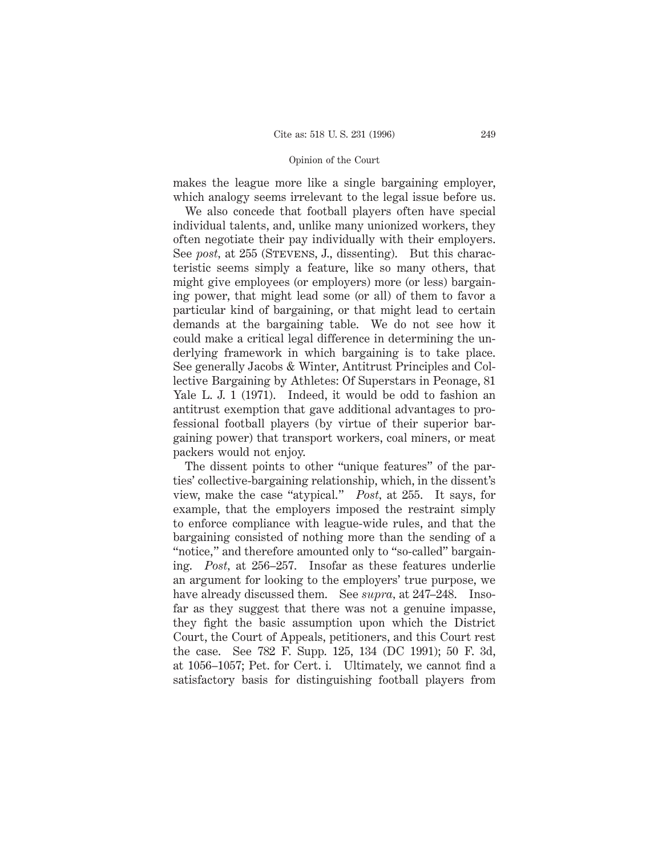makes the league more like a single bargaining employer, which analogy seems irrelevant to the legal issue before us.

We also concede that football players often have special individual talents, and, unlike many unionized workers, they often negotiate their pay individually with their employers. See *post*, at 255 (STEVENS, J., dissenting). But this characteristic seems simply a feature, like so many others, that might give employees (or employers) more (or less) bargaining power, that might lead some (or all) of them to favor a particular kind of bargaining, or that might lead to certain demands at the bargaining table. We do not see how it could make a critical legal difference in determining the underlying framework in which bargaining is to take place. See generally Jacobs & Winter, Antitrust Principles and Collective Bargaining by Athletes: Of Superstars in Peonage, 81 Yale L. J. 1 (1971). Indeed, it would be odd to fashion an antitrust exemption that gave additional advantages to professional football players (by virtue of their superior bargaining power) that transport workers, coal miners, or meat packers would not enjoy.

The dissent points to other "unique features" of the parties' collective-bargaining relationship, which, in the dissent's view, make the case "atypical." *Post,* at 255. It says, for example, that the employers imposed the restraint simply to enforce compliance with league-wide rules, and that the bargaining consisted of nothing more than the sending of a "notice," and therefore amounted only to "so-called" bargaining. *Post,* at 256–257. Insofar as these features underlie an argument for looking to the employers' true purpose, we have already discussed them. See *supra,* at 247–248. Insofar as they suggest that there was not a genuine impasse, they fight the basic assumption upon which the District Court, the Court of Appeals, petitioners, and this Court rest the case. See 782 F. Supp. 125, 134 (DC 1991); 50 F. 3d, at 1056–1057; Pet. for Cert. i. Ultimately, we cannot find a satisfactory basis for distinguishing football players from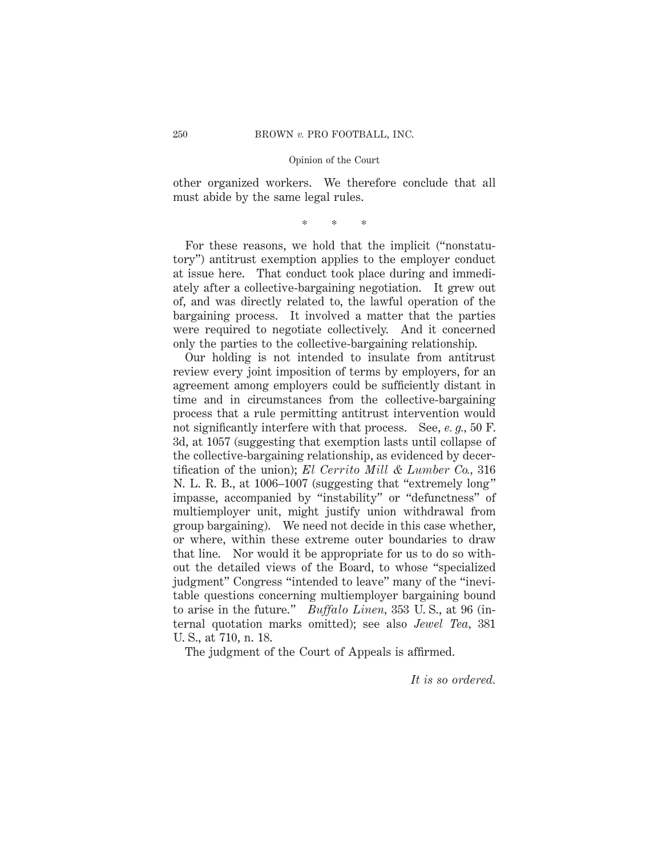other organized workers. We therefore conclude that all must abide by the same legal rules.

\*\*\*

For these reasons, we hold that the implicit ("nonstatutory") antitrust exemption applies to the employer conduct at issue here. That conduct took place during and immediately after a collective-bargaining negotiation. It grew out of, and was directly related to, the lawful operation of the bargaining process. It involved a matter that the parties were required to negotiate collectively. And it concerned only the parties to the collective-bargaining relationship.

Our holding is not intended to insulate from antitrust review every joint imposition of terms by employers, for an agreement among employers could be sufficiently distant in time and in circumstances from the collective-bargaining process that a rule permitting antitrust intervention would not significantly interfere with that process. See, *e. g.,* 50 F. 3d, at 1057 (suggesting that exemption lasts until collapse of the collective-bargaining relationship, as evidenced by decertification of the union); *El Cerrito Mill & Lumber Co.,* 316 N. L. R. B., at 1006–1007 (suggesting that "extremely long" impasse, accompanied by "instability" or "defunctness" of multiemployer unit, might justify union withdrawal from group bargaining). We need not decide in this case whether, or where, within these extreme outer boundaries to draw that line. Nor would it be appropriate for us to do so without the detailed views of the Board, to whose "specialized judgment" Congress "intended to leave" many of the "inevitable questions concerning multiemployer bargaining bound to arise in the future." *Buffalo Linen,* 353 U. S., at 96 (internal quotation marks omitted); see also *Jewel Tea,* 381 U. S., at 710, n. 18.

The judgment of the Court of Appeals is affirmed.

*It is so ordered.*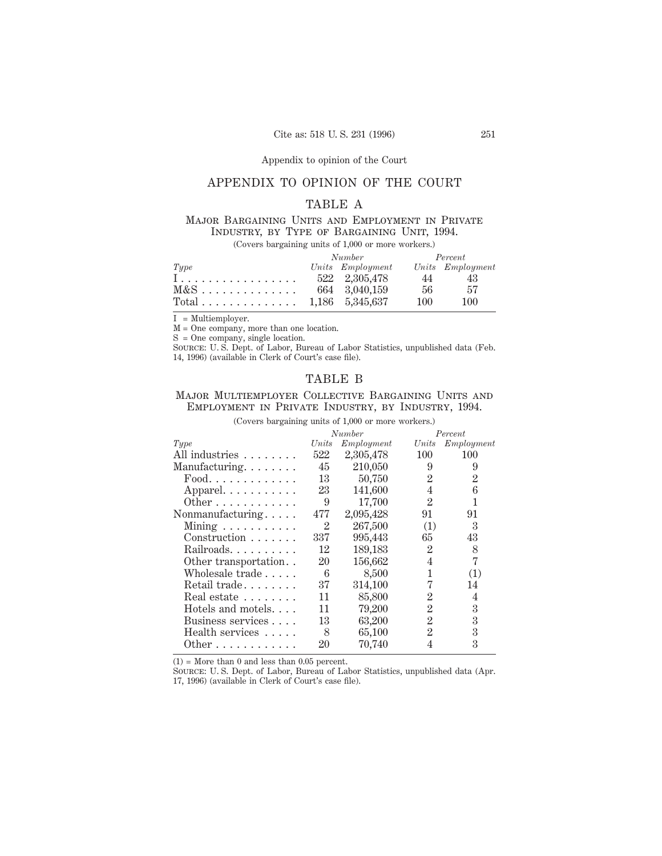Appendix to opinion of the Court

# APPENDIX TO OPINION OF THE COURT

# TABLE A

# Major Bargaining Units and Employment in Private Industry, by Type of Bargaining Unit, 1994.

(Covers bargaining units of 1,000 or more workers.)

|                         | Number |                  | Percent |                  |
|-------------------------|--------|------------------|---------|------------------|
| Type                    |        | Units Employment |         | Units Employment |
| 1.                      |        | 522 2.305.478    | 44      | 43.              |
| $M&S$                   |        | 664 3.040.159    | 56      | -57              |
| Total 1,186 $5,345,637$ |        |                  | 100     | 100              |

I = Multiemployer.

 $M =$ One company, more than one location.

 $S =$  One company, single location.

Source: U. S. Dept. of Labor, Bureau of Labor Statistics, unpublished data (Feb. 14, 1996) (available in Clerk of Court's case file).

## TABLE B

# Major Multiemployer Collective Bargaining Units and Employment in Private Industry, by Industry, 1994.

(Covers bargaining units of 1,000 or more workers.)

|                                     | Number |            | Percent        |            |
|-------------------------------------|--------|------------|----------------|------------|
| Type                                | Units  | Employment | Units          | Employment |
| All industries                      | 522    | 2,305,478  | <b>100</b>     | 100        |
| Manufacturing                       | 45     | 210,050    | 9              | 9          |
| $Food. \ldots \ldots \ldots \ldots$ | 13     | 50,750     | 2              | 2          |
| Apparel.                            | 23     | 141,600    | 4              | 6          |
| Other $\dots\dots\dots\dots$        | 9      | 17,700     | 2              |            |
| Nonmanufacturing                    | 477    | 2,095,428  | 91             | 91         |
| $\text{Mining} \dots \dots \dots$   | 2      | 267,500    | (1)            | 3          |
| Construction                        | 337    | 995,443    | 65             | 43         |
| Railroads.                          | 12     | 189,183    | 2              | 8          |
| Other transportation                | 20     | 156,662    | 4              | 7          |
| Wholesale trade                     | 6      | 8,500      |                | (1)        |
| Retail trade                        | 37     | 314,100    |                | 14         |
| $Real$ estate $\ldots \ldots$       | 11     | 85,800     | 2              | 4          |
| Hotels and motels                   | 11     | 79,200     | 2              | 3          |
| Business services                   | 13     | 63,200     | $\overline{2}$ | 3          |
| Health services                     | 8      | 65,100     | 2              | 3          |
| Other $\dots \dots \dots$           | 20     | 70,740     |                | 3          |

 $(1)$  = More than 0 and less than 0.05 percent.

Source: U. S. Dept. of Labor, Bureau of Labor Statistics, unpublished data (Apr. 17, 1996) (available in Clerk of Court's case file).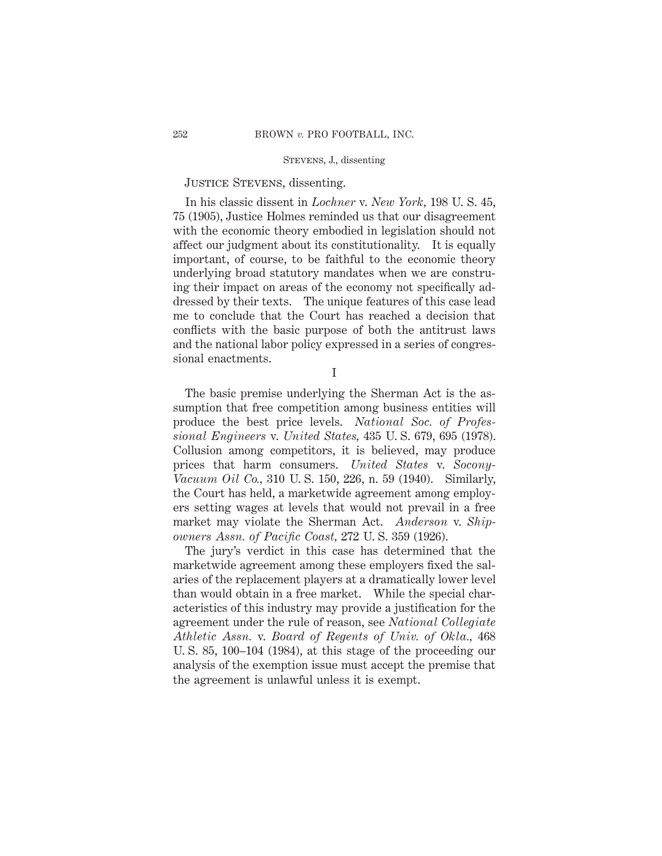## Justice Stevens, dissenting.

In his classic dissent in *Lochner* v. *New York,* 198 U. S. 45, 75 (1905), Justice Holmes reminded us that our disagreement with the economic theory embodied in legislation should not affect our judgment about its constitutionality. It is equally important, of course, to be faithful to the economic theory underlying broad statutory mandates when we are construing their impact on areas of the economy not specifically addressed by their texts. The unique features of this case lead me to conclude that the Court has reached a decision that conflicts with the basic purpose of both the antitrust laws and the national labor policy expressed in a series of congressional enactments.

I

The basic premise underlying the Sherman Act is the assumption that free competition among business entities will produce the best price levels. *National Soc. of Professional Engineers* v. *United States,* 435 U. S. 679, 695 (1978). Collusion among competitors, it is believed, may produce prices that harm consumers. *United States* v. *Socony-Vacuum Oil Co.,* 310 U. S. 150, 226, n. 59 (1940). Similarly, the Court has held, a marketwide agreement among employers setting wages at levels that would not prevail in a free market may violate the Sherman Act. *Anderson* v. *Shipowners Assn. of Pacific Coast,* 272 U. S. 359 (1926).

The jury's verdict in this case has determined that the marketwide agreement among these employers fixed the salaries of the replacement players at a dramatically lower level than would obtain in a free market. While the special characteristics of this industry may provide a justification for the agreement under the rule of reason, see *National Collegiate Athletic Assn.* v. *Board of Regents of Univ. of Okla.,* 468 U. S. 85, 100–104 (1984), at this stage of the proceeding our analysis of the exemption issue must accept the premise that the agreement is unlawful unless it is exempt.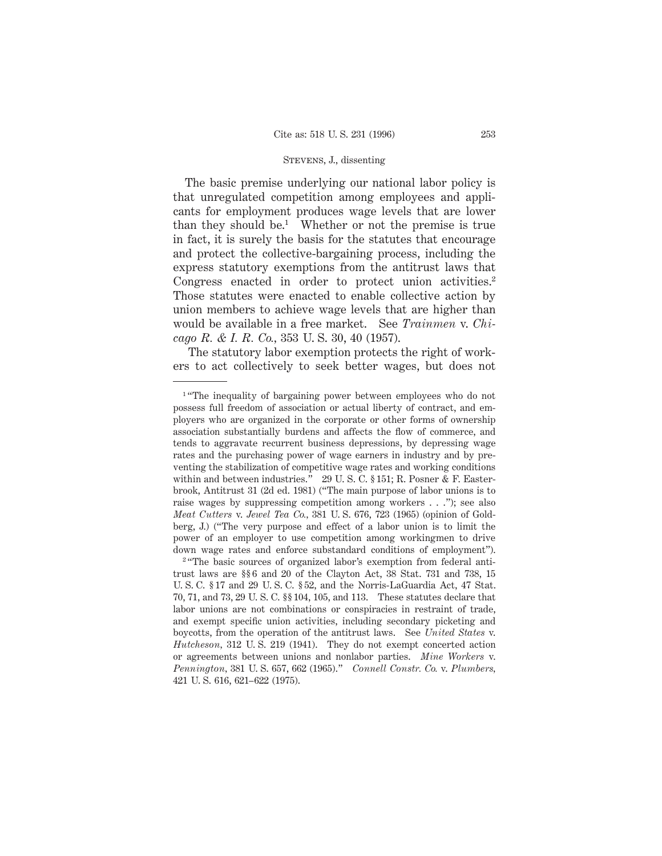The basic premise underlying our national labor policy is that unregulated competition among employees and applicants for employment produces wage levels that are lower than they should be.1 Whether or not the premise is true in fact, it is surely the basis for the statutes that encourage and protect the collective-bargaining process, including the express statutory exemptions from the antitrust laws that Congress enacted in order to protect union activities.<sup>2</sup> Those statutes were enacted to enable collective action by union members to achieve wage levels that are higher than would be available in a free market. See *Trainmen* v. *Chicago R. & I. R. Co.,* 353 U. S. 30, 40 (1957).

The statutory labor exemption protects the right of workers to act collectively to seek better wages, but does not

<sup>&</sup>lt;sup>1</sup> "The inequality of bargaining power between employees who do not possess full freedom of association or actual liberty of contract, and employers who are organized in the corporate or other forms of ownership association substantially burdens and affects the flow of commerce, and tends to aggravate recurrent business depressions, by depressing wage rates and the purchasing power of wage earners in industry and by preventing the stabilization of competitive wage rates and working conditions within and between industries." 29 U. S. C. § 151; R. Posner & F. Easterbrook, Antitrust 31 (2d ed. 1981) ("The main purpose of labor unions is to raise wages by suppressing competition among workers . . ."); see also *Meat Cutters* v. *Jewel Tea Co.,* 381 U. S. 676, 723 (1965) (opinion of Goldberg, J.) ("The very purpose and effect of a labor union is to limit the power of an employer to use competition among workingmen to drive down wage rates and enforce substandard conditions of employment").

<sup>&</sup>lt;sup>2</sup> "The basic sources of organized labor's exemption from federal antitrust laws are §§ 6 and 20 of the Clayton Act, 38 Stat. 731 and 738, 15 U. S. C. § 17 and 29 U. S. C. § 52, and the Norris-LaGuardia Act, 47 Stat. 70, 71, and 73, 29 U. S. C. §§ 104, 105, and 113. These statutes declare that labor unions are not combinations or conspiracies in restraint of trade, and exempt specific union activities, including secondary picketing and boycotts, from the operation of the antitrust laws. See *United States* v. *Hutcheson,* 312 U. S. 219 (1941). They do not exempt concerted action or agreements between unions and nonlabor parties. *Mine Workers* v. *Pennington,* 381 U. S. 657, 662 (1965)." *Connell Constr. Co.* v. *Plumbers,* 421 U. S. 616, 621–622 (1975).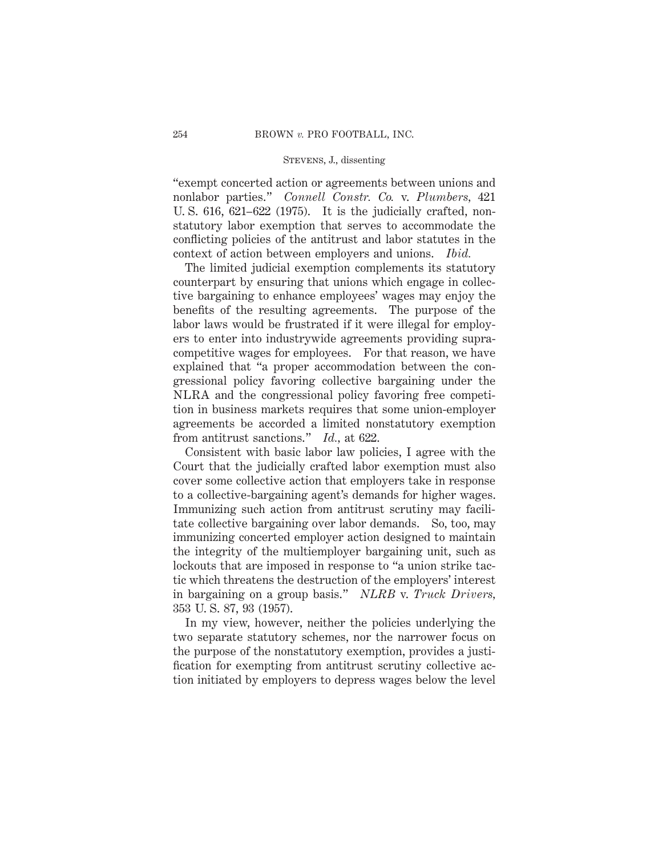"exempt concerted action or agreements between unions and nonlabor parties." *Connell Constr. Co.* v. *Plumbers,* 421 U. S. 616, 621–622 (1975). It is the judicially crafted, nonstatutory labor exemption that serves to accommodate the conflicting policies of the antitrust and labor statutes in the context of action between employers and unions. *Ibid.*

The limited judicial exemption complements its statutory counterpart by ensuring that unions which engage in collective bargaining to enhance employees' wages may enjoy the benefits of the resulting agreements. The purpose of the labor laws would be frustrated if it were illegal for employers to enter into industrywide agreements providing supracompetitive wages for employees. For that reason, we have explained that "a proper accommodation between the congressional policy favoring collective bargaining under the NLRA and the congressional policy favoring free competition in business markets requires that some union-employer agreements be accorded a limited nonstatutory exemption from antitrust sanctions." *Id.,* at 622.

Consistent with basic labor law policies, I agree with the Court that the judicially crafted labor exemption must also cover some collective action that employers take in response to a collective-bargaining agent's demands for higher wages. Immunizing such action from antitrust scrutiny may facilitate collective bargaining over labor demands. So, too, may immunizing concerted employer action designed to maintain the integrity of the multiemployer bargaining unit, such as lockouts that are imposed in response to "a union strike tactic which threatens the destruction of the employers' interest in bargaining on a group basis." *NLRB* v. *Truck Drivers,* 353 U. S. 87, 93 (1957).

In my view, however, neither the policies underlying the two separate statutory schemes, nor the narrower focus on the purpose of the nonstatutory exemption, provides a justification for exempting from antitrust scrutiny collective action initiated by employers to depress wages below the level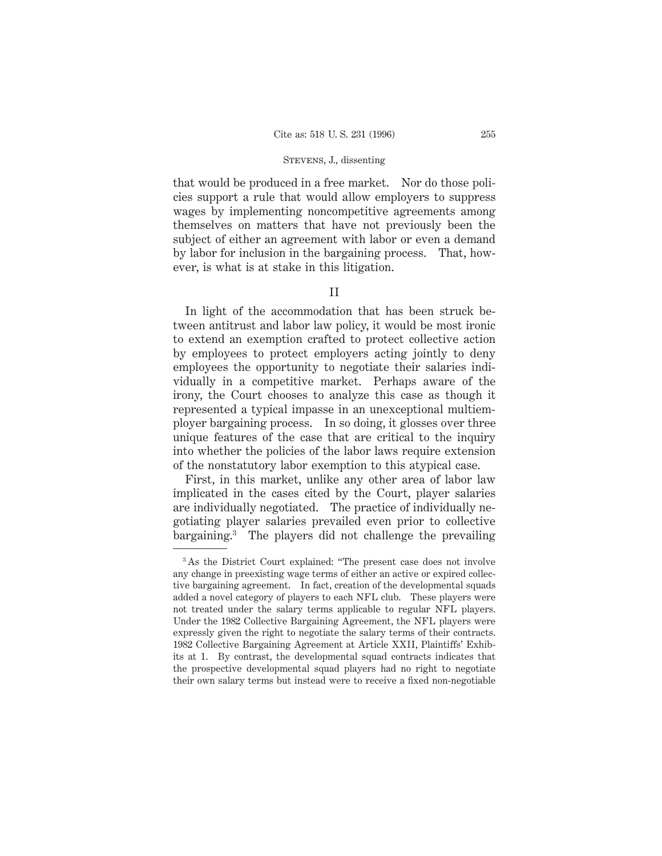that would be produced in a free market. Nor do those policies support a rule that would allow employers to suppress wages by implementing noncompetitive agreements among themselves on matters that have not previously been the subject of either an agreement with labor or even a demand by labor for inclusion in the bargaining process. That, however, is what is at stake in this litigation.

II

In light of the accommodation that has been struck between antitrust and labor law policy, it would be most ironic to extend an exemption crafted to protect collective action by employees to protect employers acting jointly to deny employees the opportunity to negotiate their salaries individually in a competitive market. Perhaps aware of the irony, the Court chooses to analyze this case as though it represented a typical impasse in an unexceptional multiemployer bargaining process. In so doing, it glosses over three unique features of the case that are critical to the inquiry into whether the policies of the labor laws require extension of the nonstatutory labor exemption to this atypical case.

First, in this market, unlike any other area of labor law implicated in the cases cited by the Court, player salaries are individually negotiated. The practice of individually negotiating player salaries prevailed even prior to collective bargaining.3 The players did not challenge the prevailing

<sup>&</sup>lt;sup>3</sup>As the District Court explained: "The present case does not involve any change in preexisting wage terms of either an active or expired collective bargaining agreement. In fact, creation of the developmental squads added a novel category of players to each NFL club. These players were not treated under the salary terms applicable to regular NFL players. Under the 1982 Collective Bargaining Agreement, the NFL players were expressly given the right to negotiate the salary terms of their contracts. 1982 Collective Bargaining Agreement at Article XXII, Plaintiffs' Exhibits at 1. By contrast, the developmental squad contracts indicates that the prospective developmental squad players had no right to negotiate their own salary terms but instead were to receive a fixed non-negotiable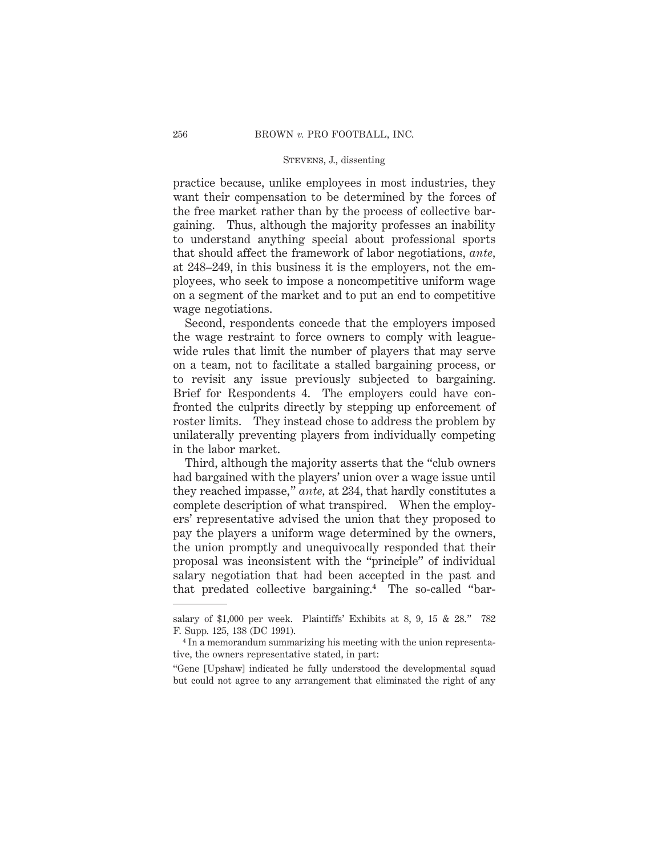practice because, unlike employees in most industries, they want their compensation to be determined by the forces of the free market rather than by the process of collective bargaining. Thus, although the majority professes an inability to understand anything special about professional sports that should affect the framework of labor negotiations, *ante,* at 248–249, in this business it is the employers, not the employees, who seek to impose a noncompetitive uniform wage on a segment of the market and to put an end to competitive wage negotiations.

Second, respondents concede that the employers imposed the wage restraint to force owners to comply with leaguewide rules that limit the number of players that may serve on a team, not to facilitate a stalled bargaining process, or to revisit any issue previously subjected to bargaining. Brief for Respondents 4. The employers could have confronted the culprits directly by stepping up enforcement of roster limits. They instead chose to address the problem by unilaterally preventing players from individually competing in the labor market.

Third, although the majority asserts that the "club owners had bargained with the players' union over a wage issue until they reached impasse," *ante,* at 234, that hardly constitutes a complete description of what transpired. When the employers' representative advised the union that they proposed to pay the players a uniform wage determined by the owners, the union promptly and unequivocally responded that their proposal was inconsistent with the "principle" of individual salary negotiation that had been accepted in the past and that predated collective bargaining.4 The so-called "bar-

salary of \$1,000 per week. Plaintiffs' Exhibits at 8, 9, 15 & 28." 782 F. Supp. 125, 138 (DC 1991).

<sup>&</sup>lt;sup>4</sup> In a memorandum summarizing his meeting with the union representative, the owners representative stated, in part:

<sup>&</sup>quot;Gene [Upshaw] indicated he fully understood the developmental squad but could not agree to any arrangement that eliminated the right of any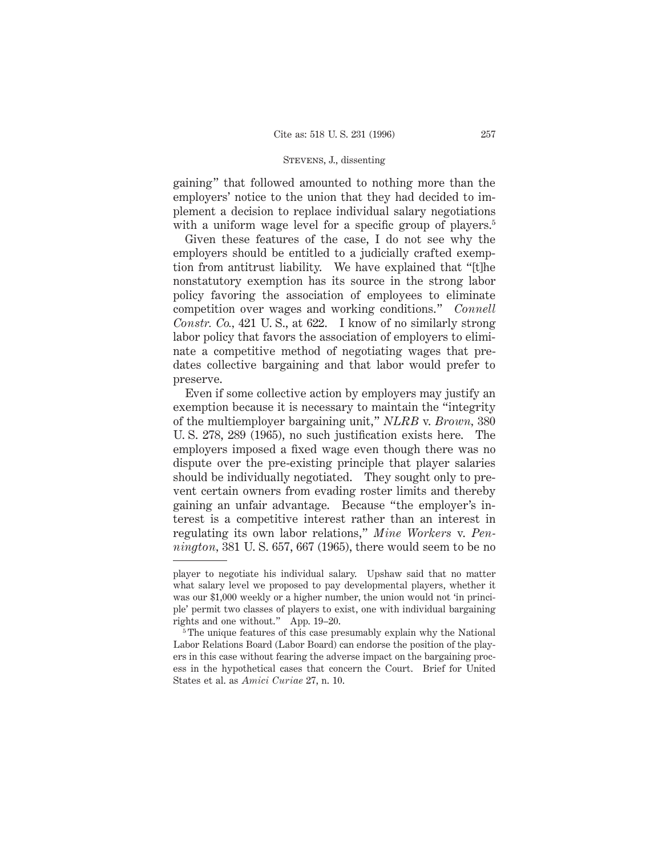gaining" that followed amounted to nothing more than the employers' notice to the union that they had decided to implement a decision to replace individual salary negotiations with a uniform wage level for a specific group of players.<sup>5</sup>

Given these features of the case, I do not see why the employers should be entitled to a judicially crafted exemption from antitrust liability. We have explained that "[t]he nonstatutory exemption has its source in the strong labor policy favoring the association of employees to eliminate competition over wages and working conditions." *Connell Constr. Co.,* 421 U. S., at 622. I know of no similarly strong labor policy that favors the association of employers to eliminate a competitive method of negotiating wages that predates collective bargaining and that labor would prefer to preserve.

Even if some collective action by employers may justify an exemption because it is necessary to maintain the "integrity of the multiemployer bargaining unit," *NLRB* v. *Brown,* 380 U. S. 278, 289 (1965), no such justification exists here. The employers imposed a fixed wage even though there was no dispute over the pre-existing principle that player salaries should be individually negotiated. They sought only to prevent certain owners from evading roster limits and thereby gaining an unfair advantage. Because "the employer's interest is a competitive interest rather than an interest in regulating its own labor relations," *Mine Workers* v. *Pennington,* 381 U. S. 657, 667 (1965), there would seem to be no

player to negotiate his individual salary. Upshaw said that no matter what salary level we proposed to pay developmental players, whether it was our \$1,000 weekly or a higher number, the union would not 'in principle' permit two classes of players to exist, one with individual bargaining rights and one without." App. 19–20.

<sup>&</sup>lt;sup>5</sup>The unique features of this case presumably explain why the National Labor Relations Board (Labor Board) can endorse the position of the players in this case without fearing the adverse impact on the bargaining process in the hypothetical cases that concern the Court. Brief for United States et al. as *Amici Curiae* 27, n. 10.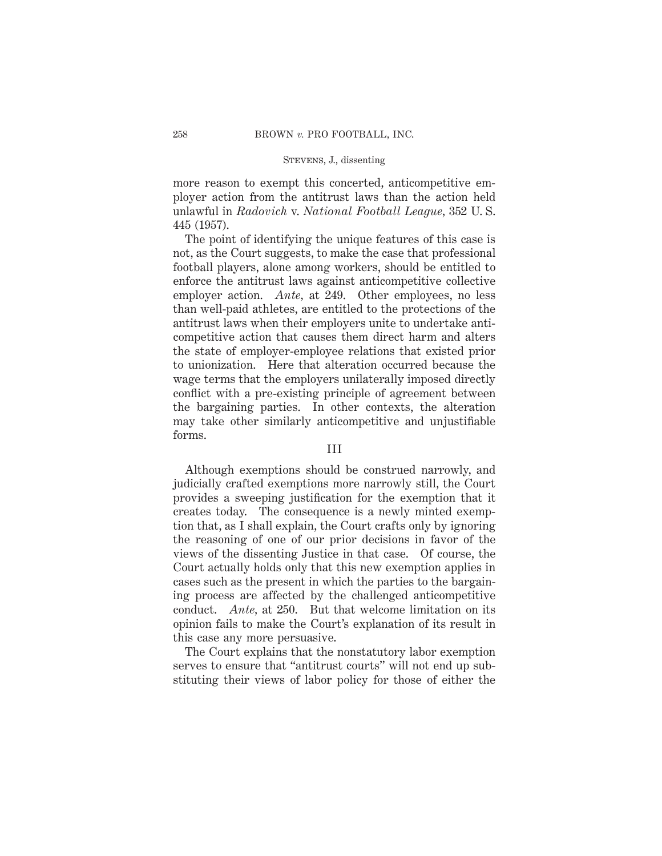more reason to exempt this concerted, anticompetitive employer action from the antitrust laws than the action held unlawful in *Radovich* v. *National Football League,* 352 U. S. 445 (1957).

The point of identifying the unique features of this case is not, as the Court suggests, to make the case that professional football players, alone among workers, should be entitled to enforce the antitrust laws against anticompetitive collective employer action. *Ante,* at 249. Other employees, no less than well-paid athletes, are entitled to the protections of the antitrust laws when their employers unite to undertake anticompetitive action that causes them direct harm and alters the state of employer-employee relations that existed prior to unionization. Here that alteration occurred because the wage terms that the employers unilaterally imposed directly conflict with a pre-existing principle of agreement between the bargaining parties. In other contexts, the alteration may take other similarly anticompetitive and unjustifiable forms.

## III

Although exemptions should be construed narrowly, and judicially crafted exemptions more narrowly still, the Court provides a sweeping justification for the exemption that it creates today. The consequence is a newly minted exemption that, as I shall explain, the Court crafts only by ignoring the reasoning of one of our prior decisions in favor of the views of the dissenting Justice in that case. Of course, the Court actually holds only that this new exemption applies in cases such as the present in which the parties to the bargaining process are affected by the challenged anticompetitive conduct. *Ante,* at 250. But that welcome limitation on its opinion fails to make the Court's explanation of its result in this case any more persuasive.

The Court explains that the nonstatutory labor exemption serves to ensure that "antitrust courts" will not end up substituting their views of labor policy for those of either the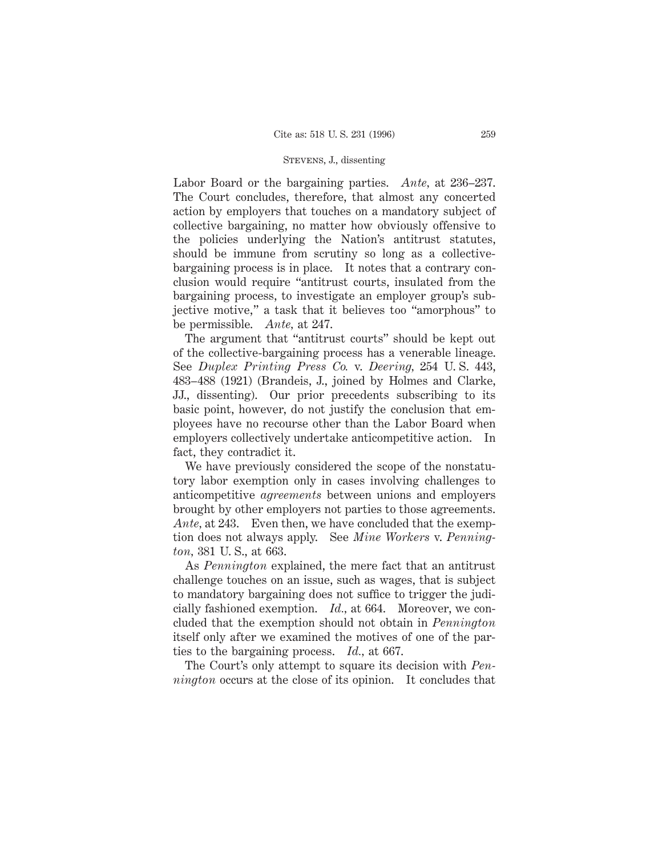Labor Board or the bargaining parties. *Ante,* at 236–237. The Court concludes, therefore, that almost any concerted action by employers that touches on a mandatory subject of collective bargaining, no matter how obviously offensive to the policies underlying the Nation's antitrust statutes, should be immune from scrutiny so long as a collectivebargaining process is in place. It notes that a contrary conclusion would require "antitrust courts, insulated from the bargaining process, to investigate an employer group's subjective motive," a task that it believes too "amorphous" to be permissible. *Ante,* at 247.

The argument that "antitrust courts" should be kept out of the collective-bargaining process has a venerable lineage. See *Duplex Printing Press Co.* v. *Deering,* 254 U. S. 443, 483–488 (1921) (Brandeis, J., joined by Holmes and Clarke, JJ., dissenting). Our prior precedents subscribing to its basic point, however, do not justify the conclusion that employees have no recourse other than the Labor Board when employers collectively undertake anticompetitive action. In fact, they contradict it.

We have previously considered the scope of the nonstatutory labor exemption only in cases involving challenges to anticompetitive *agreements* between unions and employers brought by other employers not parties to those agreements. *Ante,* at 243. Even then, we have concluded that the exemption does not always apply. See *Mine Workers* v. *Pennington,* 381 U. S., at 663.

As *Pennington* explained, the mere fact that an antitrust challenge touches on an issue, such as wages, that is subject to mandatory bargaining does not suffice to trigger the judicially fashioned exemption. *Id.,* at 664. Moreover, we concluded that the exemption should not obtain in *Pennington* itself only after we examined the motives of one of the parties to the bargaining process. *Id.,* at 667.

The Court's only attempt to square its decision with *Pennington* occurs at the close of its opinion. It concludes that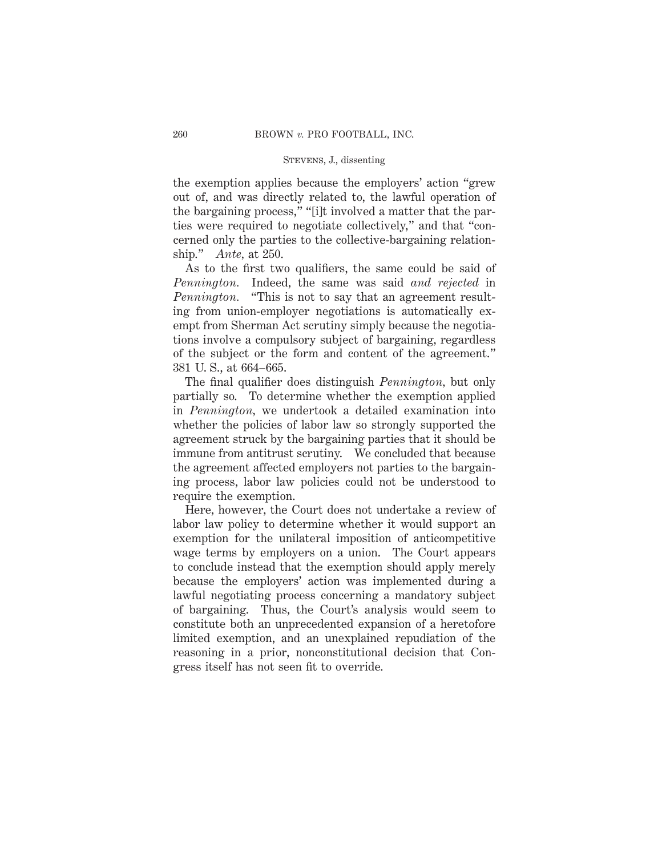the exemption applies because the employers' action "grew out of, and was directly related to, the lawful operation of the bargaining process," "[i]t involved a matter that the parties were required to negotiate collectively," and that "concerned only the parties to the collective-bargaining relationship." *Ante,* at 250.

As to the first two qualifiers, the same could be said of *Pennington.* Indeed, the same was said *and rejected* in *Pennington.* "This is not to say that an agreement resulting from union-employer negotiations is automatically exempt from Sherman Act scrutiny simply because the negotiations involve a compulsory subject of bargaining, regardless of the subject or the form and content of the agreement." 381 U. S., at 664–665.

The final qualifier does distinguish *Pennington,* but only partially so. To determine whether the exemption applied in *Pennington,* we undertook a detailed examination into whether the policies of labor law so strongly supported the agreement struck by the bargaining parties that it should be immune from antitrust scrutiny. We concluded that because the agreement affected employers not parties to the bargaining process, labor law policies could not be understood to require the exemption.

Here, however, the Court does not undertake a review of labor law policy to determine whether it would support an exemption for the unilateral imposition of anticompetitive wage terms by employers on a union. The Court appears to conclude instead that the exemption should apply merely because the employers' action was implemented during a lawful negotiating process concerning a mandatory subject of bargaining. Thus, the Court's analysis would seem to constitute both an unprecedented expansion of a heretofore limited exemption, and an unexplained repudiation of the reasoning in a prior, nonconstitutional decision that Congress itself has not seen fit to override.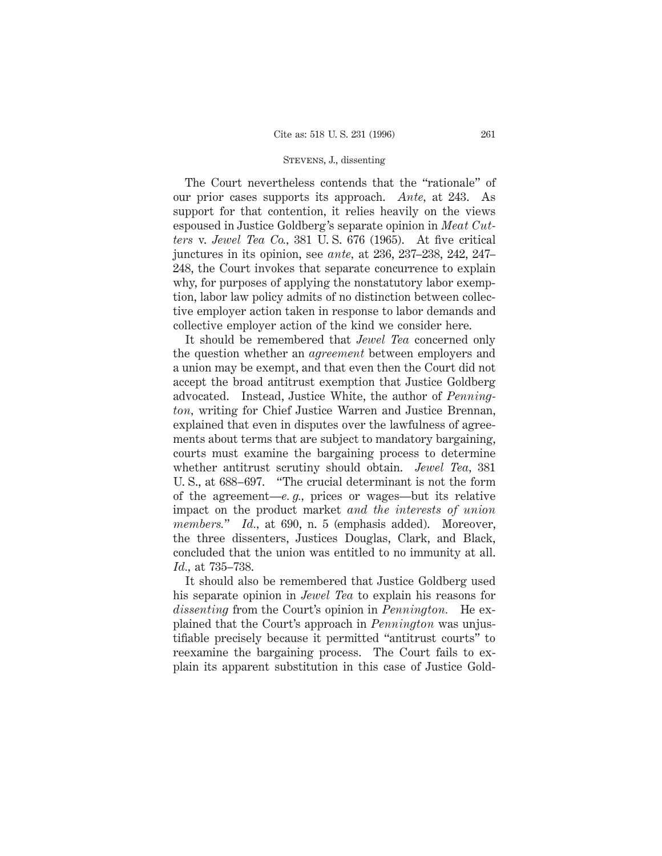The Court nevertheless contends that the "rationale" of our prior cases supports its approach. *Ante,* at 243. As support for that contention, it relies heavily on the views espoused in Justice Goldberg's separate opinion in *Meat Cutters* v. *Jewel Tea Co.,* 381 U. S. 676 (1965). At five critical junctures in its opinion, see *ante,* at 236, 237–238, 242, 247– 248, the Court invokes that separate concurrence to explain why, for purposes of applying the nonstatutory labor exemption, labor law policy admits of no distinction between collective employer action taken in response to labor demands and collective employer action of the kind we consider here.

It should be remembered that *Jewel Tea* concerned only the question whether an *agreement* between employers and a union may be exempt, and that even then the Court did not accept the broad antitrust exemption that Justice Goldberg advocated. Instead, Justice White, the author of *Pennington,* writing for Chief Justice Warren and Justice Brennan, explained that even in disputes over the lawfulness of agreements about terms that are subject to mandatory bargaining, courts must examine the bargaining process to determine whether antitrust scrutiny should obtain. *Jewel Tea,* 381 U. S., at 688–697. "The crucial determinant is not the form of the agreement—*e. g.,* prices or wages—but its relative impact on the product market *and the interests of union members.*" *Id.,* at 690, n. 5 (emphasis added). Moreover, the three dissenters, Justices Douglas, Clark, and Black, concluded that the union was entitled to no immunity at all. *Id.,* at 735–738.

It should also be remembered that Justice Goldberg used his separate opinion in *Jewel Tea* to explain his reasons for *dissenting* from the Court's opinion in *Pennington.* He explained that the Court's approach in *Pennington* was unjustifiable precisely because it permitted "antitrust courts" to reexamine the bargaining process. The Court fails to explain its apparent substitution in this case of Justice Gold-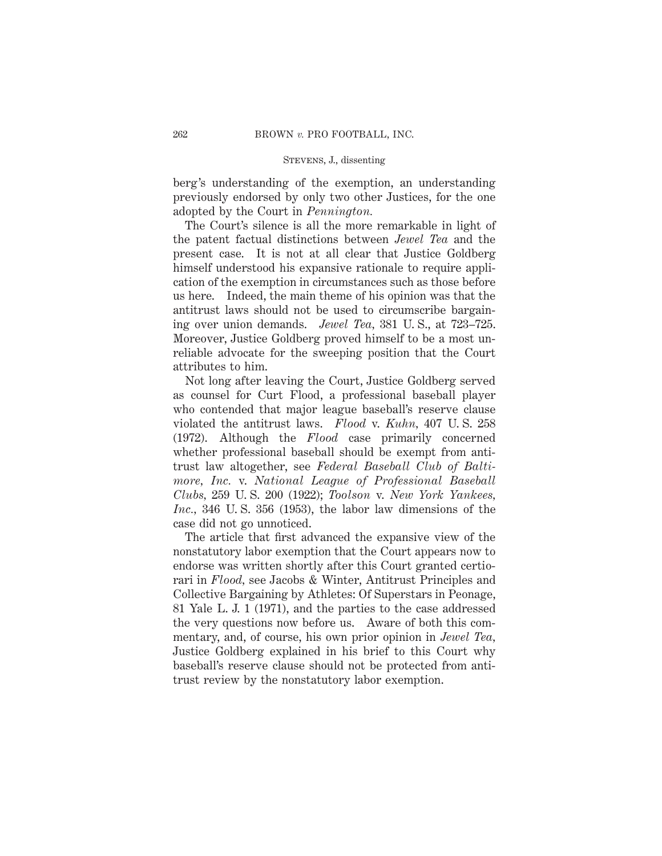berg's understanding of the exemption, an understanding previously endorsed by only two other Justices, for the one adopted by the Court in *Pennington.*

The Court's silence is all the more remarkable in light of the patent factual distinctions between *Jewel Tea* and the present case. It is not at all clear that Justice Goldberg himself understood his expansive rationale to require application of the exemption in circumstances such as those before us here. Indeed, the main theme of his opinion was that the antitrust laws should not be used to circumscribe bargaining over union demands. *Jewel Tea,* 381 U. S., at 723–725. Moreover, Justice Goldberg proved himself to be a most unreliable advocate for the sweeping position that the Court attributes to him.

Not long after leaving the Court, Justice Goldberg served as counsel for Curt Flood, a professional baseball player who contended that major league baseball's reserve clause violated the antitrust laws. *Flood* v. *Kuhn,* 407 U. S. 258 (1972). Although the *Flood* case primarily concerned whether professional baseball should be exempt from antitrust law altogether, see *Federal Baseball Club of Baltimore, Inc.* v. *National League of Professional Baseball Clubs,* 259 U. S. 200 (1922); *Toolson* v. *New York Yankees, Inc.,* 346 U. S. 356 (1953), the labor law dimensions of the case did not go unnoticed.

The article that first advanced the expansive view of the nonstatutory labor exemption that the Court appears now to endorse was written shortly after this Court granted certiorari in *Flood,* see Jacobs & Winter, Antitrust Principles and Collective Bargaining by Athletes: Of Superstars in Peonage, 81 Yale L. J. 1 (1971), and the parties to the case addressed the very questions now before us. Aware of both this commentary, and, of course, his own prior opinion in *Jewel Tea,* Justice Goldberg explained in his brief to this Court why baseball's reserve clause should not be protected from antitrust review by the nonstatutory labor exemption.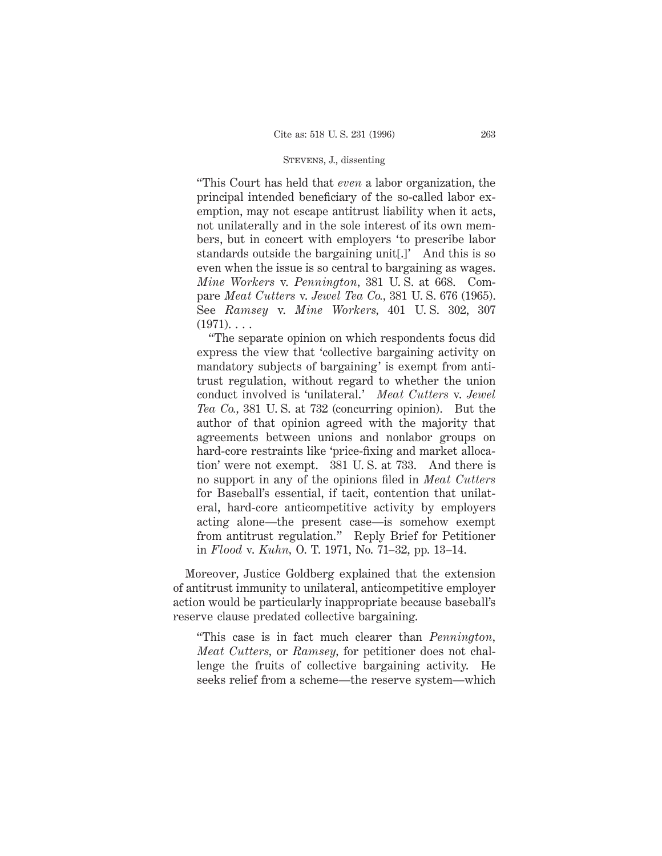"This Court has held that *even* a labor organization, the principal intended beneficiary of the so-called labor exemption, may not escape antitrust liability when it acts, not unilaterally and in the sole interest of its own members, but in concert with employers 'to prescribe labor standards outside the bargaining unit[.]' And this is so even when the issue is so central to bargaining as wages. *Mine Workers* v. *Pennington,* 381 U. S. at 668. Compare *Meat Cutters* v. *Jewel Tea Co.,* 381 U. S. 676 (1965). See *Ramsey* v. *Mine Workers,* 401 U. S. 302, 307  $(1971)$ ....

"The separate opinion on which respondents focus did express the view that 'collective bargaining activity on mandatory subjects of bargaining' is exempt from antitrust regulation, without regard to whether the union conduct involved is 'unilateral.' *Meat Cutters* v. *Jewel Tea Co.,* 381 U. S. at 732 (concurring opinion). But the author of that opinion agreed with the majority that agreements between unions and nonlabor groups on hard-core restraints like 'price-fixing and market allocation' were not exempt. 381 U. S. at 733. And there is no support in any of the opinions filed in *Meat Cutters* for Baseball's essential, if tacit, contention that unilateral, hard-core anticompetitive activity by employers acting alone—the present case—is somehow exempt from antitrust regulation." Reply Brief for Petitioner in *Flood* v. *Kuhn,* O. T. 1971, No. 71–32, pp. 13–14.

Moreover, Justice Goldberg explained that the extension of antitrust immunity to unilateral, anticompetitive employer action would be particularly inappropriate because baseball's reserve clause predated collective bargaining.

"This case is in fact much clearer than *Pennington, Meat Cutters,* or *Ramsey,* for petitioner does not challenge the fruits of collective bargaining activity. He seeks relief from a scheme—the reserve system—which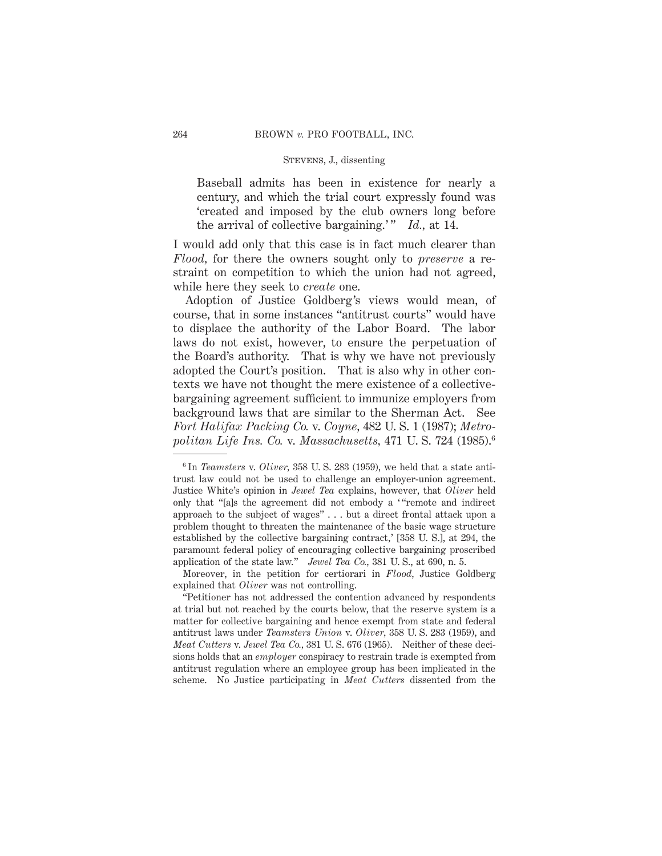Baseball admits has been in existence for nearly a century, and which the trial court expressly found was 'created and imposed by the club owners long before the arrival of collective bargaining.'" *Id.*, at 14.

I would add only that this case is in fact much clearer than *Flood,* for there the owners sought only to *preserve* a restraint on competition to which the union had not agreed, while here they seek to *create* one.

Adoption of Justice Goldberg's views would mean, of course, that in some instances "antitrust courts" would have to displace the authority of the Labor Board. The labor laws do not exist, however, to ensure the perpetuation of the Board's authority. That is why we have not previously adopted the Court's position. That is also why in other contexts we have not thought the mere existence of a collectivebargaining agreement sufficient to immunize employers from background laws that are similar to the Sherman Act. See *Fort Halifax Packing Co.* v. *Coyne,* 482 U. S. 1 (1987); *Metropolitan Life Ins. Co.* v. *Massachusetts,* 471 U. S. 724 (1985).6

Moreover, in the petition for certiorari in *Flood,* Justice Goldberg explained that *Oliver* was not controlling.

"Petitioner has not addressed the contention advanced by respondents at trial but not reached by the courts below, that the reserve system is a matter for collective bargaining and hence exempt from state and federal antitrust laws under *Teamsters Union* v. *Oliver,* 358 U. S. 283 (1959), and *Meat Cutters* v. *Jewel Tea Co.,* 381 U. S. 676 (1965). Neither of these decisions holds that an *employer* conspiracy to restrain trade is exempted from antitrust regulation where an employee group has been implicated in the scheme. No Justice participating in *Meat Cutters* dissented from the

<sup>6</sup> In *Teamsters* v. *Oliver,* 358 U. S. 283 (1959), we held that a state antitrust law could not be used to challenge an employer-union agreement. Justice White's opinion in *Jewel Tea* explains, however, that *Oliver* held only that "[a]s the agreement did not embody a ""remote and indirect approach to the subject of wages" . . . but a direct frontal attack upon a problem thought to threaten the maintenance of the basic wage structure established by the collective bargaining contract,' [358 U. S.], at 294, the paramount federal policy of encouraging collective bargaining proscribed application of the state law." *Jewel Tea Co.,* 381 U. S., at 690, n. 5.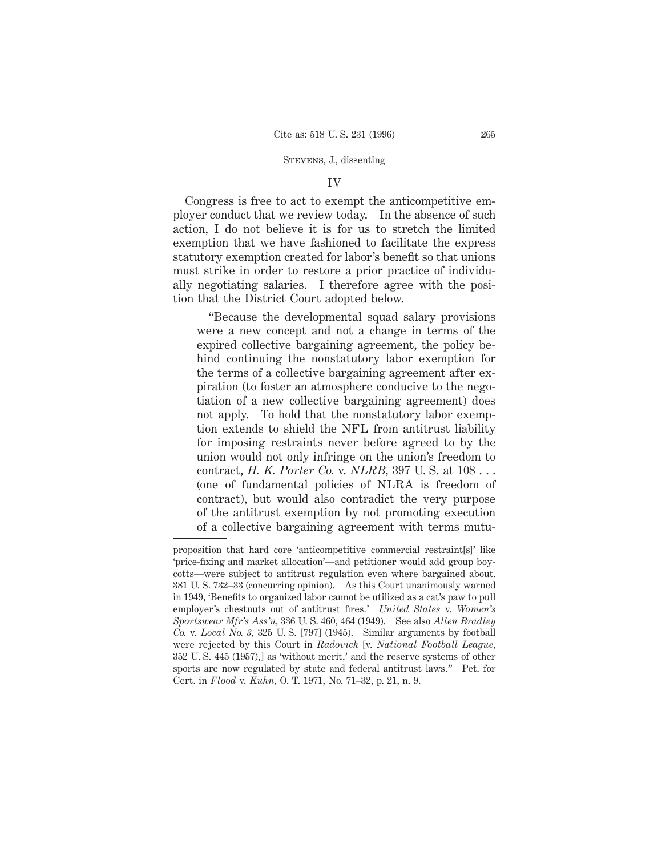## IV

Congress is free to act to exempt the anticompetitive employer conduct that we review today. In the absence of such action, I do not believe it is for us to stretch the limited exemption that we have fashioned to facilitate the express statutory exemption created for labor's benefit so that unions must strike in order to restore a prior practice of individually negotiating salaries. I therefore agree with the position that the District Court adopted below.

"Because the developmental squad salary provisions were a new concept and not a change in terms of the expired collective bargaining agreement, the policy behind continuing the nonstatutory labor exemption for the terms of a collective bargaining agreement after expiration (to foster an atmosphere conducive to the negotiation of a new collective bargaining agreement) does not apply. To hold that the nonstatutory labor exemption extends to shield the NFL from antitrust liability for imposing restraints never before agreed to by the union would not only infringe on the union's freedom to contract, *H. K. Porter Co.* v. *NLRB,* 397 U. S. at 108 . . . (one of fundamental policies of NLRA is freedom of contract), but would also contradict the very purpose of the antitrust exemption by not promoting execution of a collective bargaining agreement with terms mutu-

proposition that hard core 'anticompetitive commercial restraint[s]' like 'price-fixing and market allocation'—and petitioner would add group boycotts—were subject to antitrust regulation even where bargained about. 381 U. S. 732–33 (concurring opinion). As this Court unanimously warned in 1949, 'Benefits to organized labor cannot be utilized as a cat's paw to pull employer's chestnuts out of antitrust fires.' *United States* v. *Women's Sportswear Mfr's Ass'n,* 336 U. S. 460, 464 (1949). See also *Allen Bradley Co.* v. *Local No. 3,* 325 U. S. [797] (1945). Similar arguments by football were rejected by this Court in *Radovich* [v. *National Football League,* 352 U. S. 445 (1957),] as 'without merit,' and the reserve systems of other sports are now regulated by state and federal antitrust laws." Pet. for Cert. in *Flood* v. *Kuhn,* O. T. 1971, No. 71–32, p. 21, n. 9.